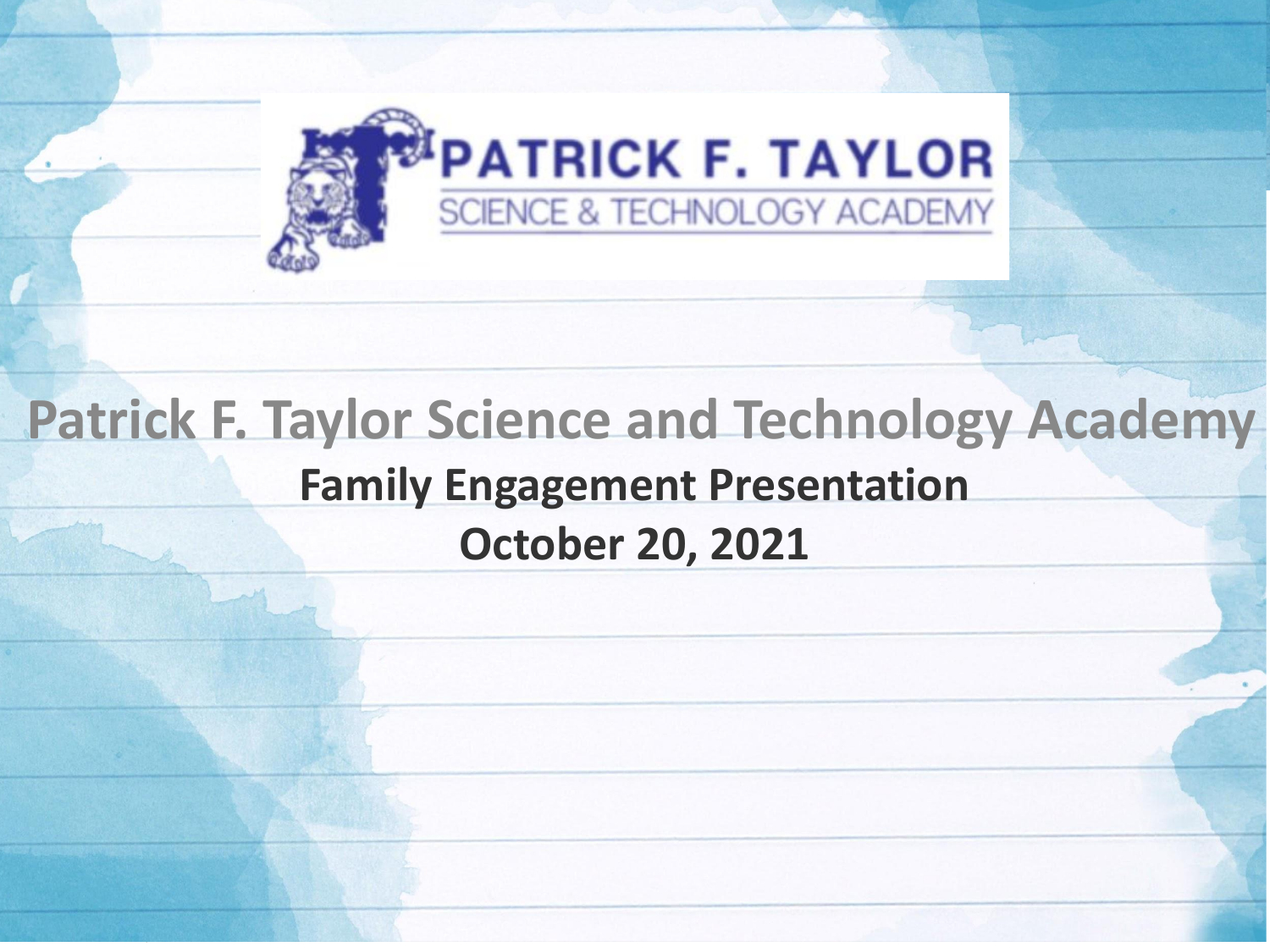

### **Patrick F. Taylor Science and Technology Academy Family Engagement Presentation October 20, 2021**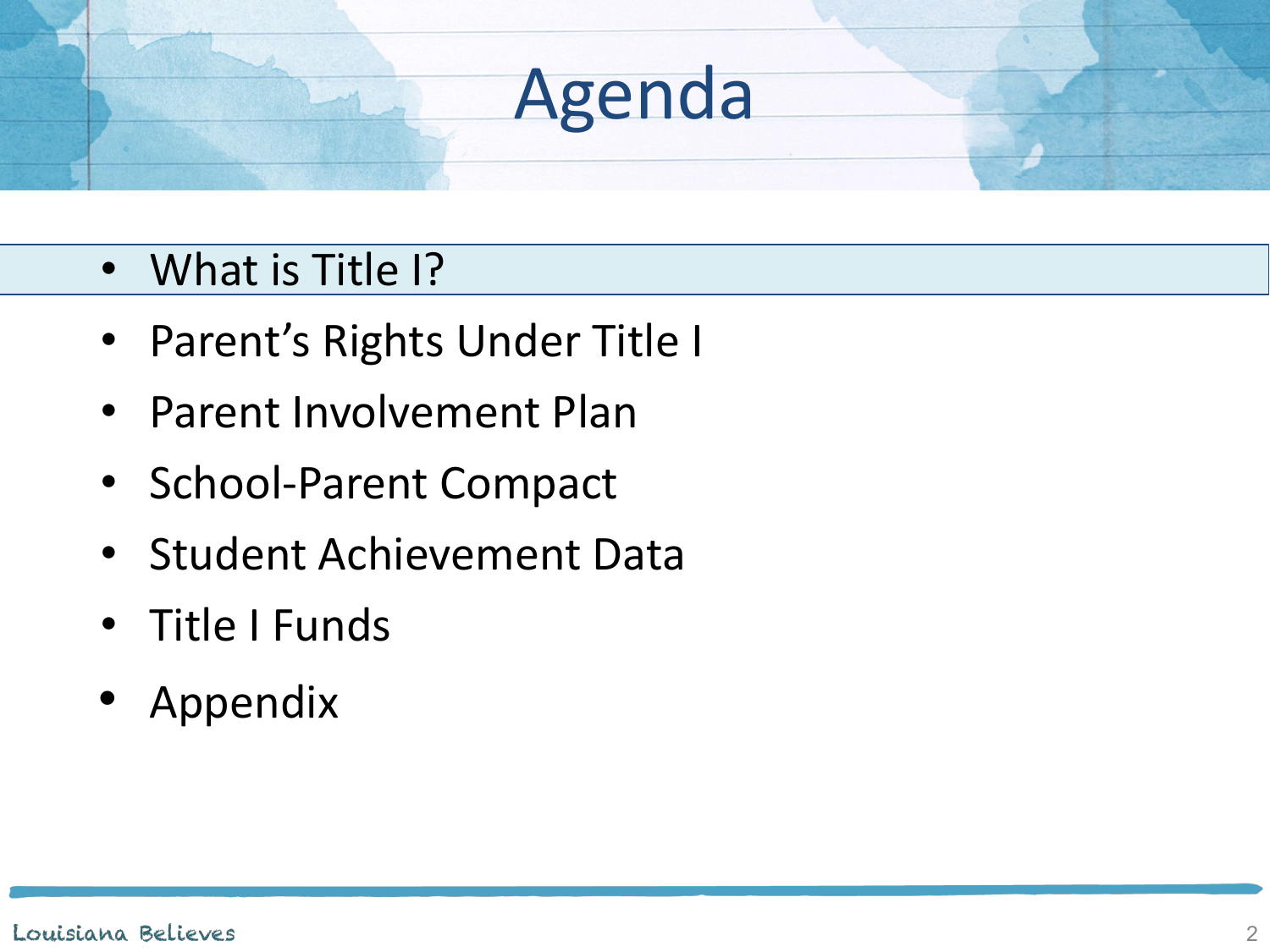### • What is Title I?

- Parent's Rights Under Title I
- Parent Involvement Plan
- School-Parent Compact
- Student Achievement Data
- Title I Funds
- Appendix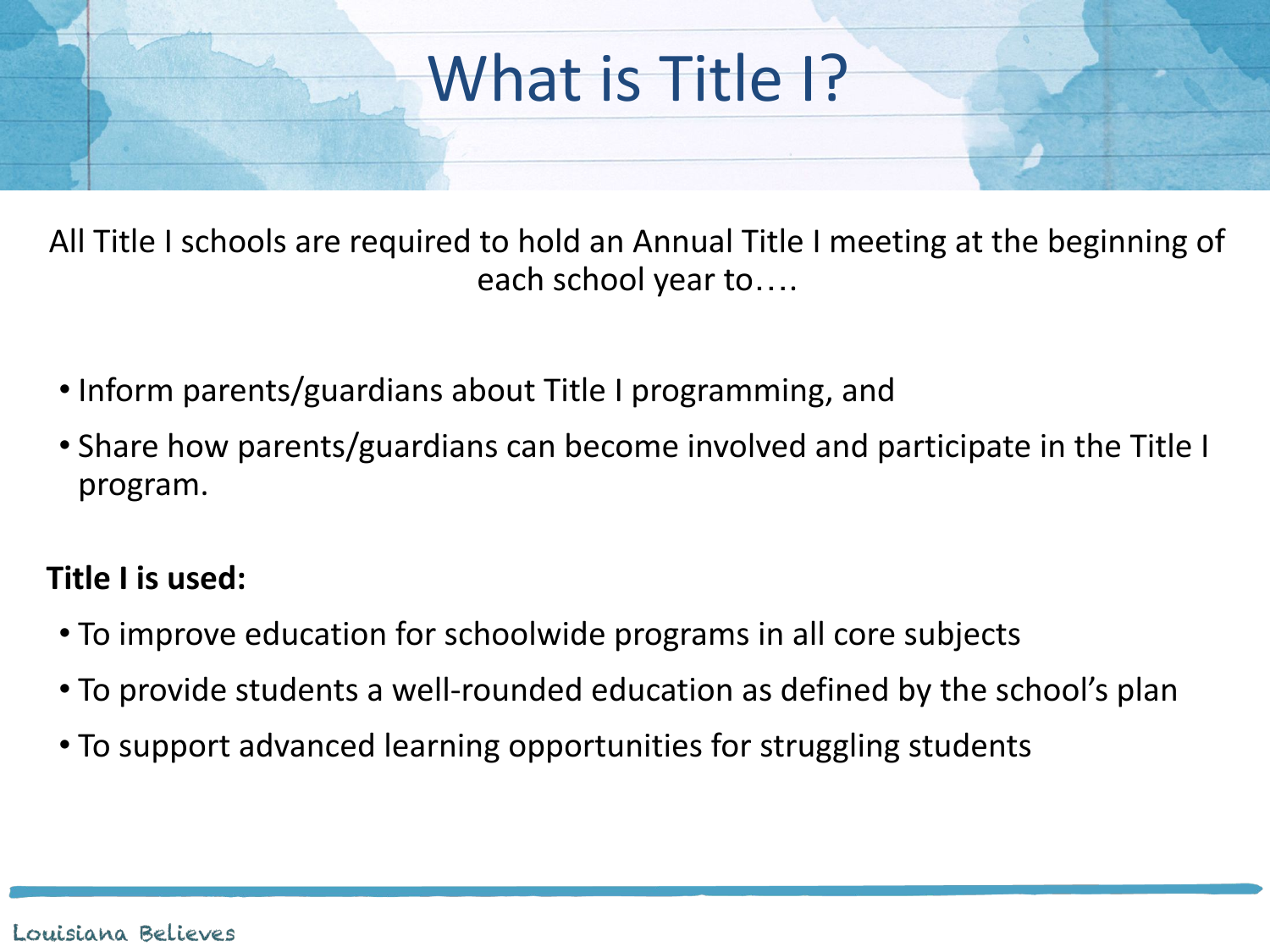## What is Title 1?

All Title I schools are required to hold an Annual Title I meeting at the beginning of each school year to….

- Inform parents/guardians about Title I programming, and
- Share how parents/guardians can become involved and participate in the Title I program.

### **Title I is used:**

- To improve education for schoolwide programs in all core subjects
- To provide students a well-rounded education as defined by the school's plan
- To support advanced learning opportunities for struggling students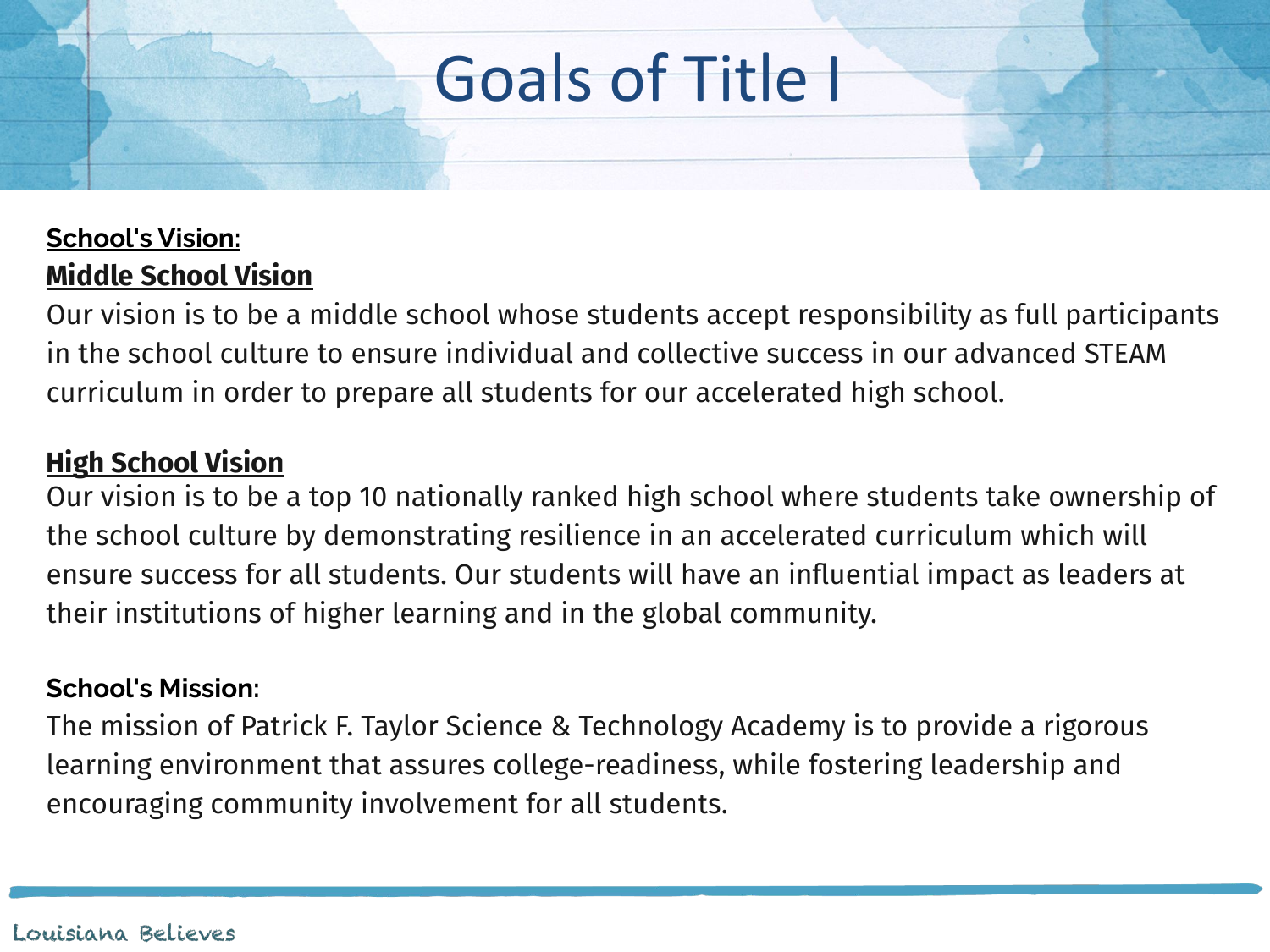## Goals of Title I

#### **School's Vision: Middle School Vision**

Our vision is to be a middle school whose students accept responsibility as full participants in the school culture to ensure individual and collective success in our advanced STEAM curriculum in order to prepare all students for our accelerated high school.

#### **High School Vision**

Our vision is to be a top 10 nationally ranked high school where students take ownership of the school culture by demonstrating resilience in an accelerated curriculum which will ensure success for all students. Our students will have an influential impact as leaders at their institutions of higher learning and in the global community.

#### **School's Mission:**

The mission of Patrick F. Taylor Science & Technology Academy is to provide a rigorous learning environment that assures college-readiness, while fostering leadership and encouraging community involvement for all students.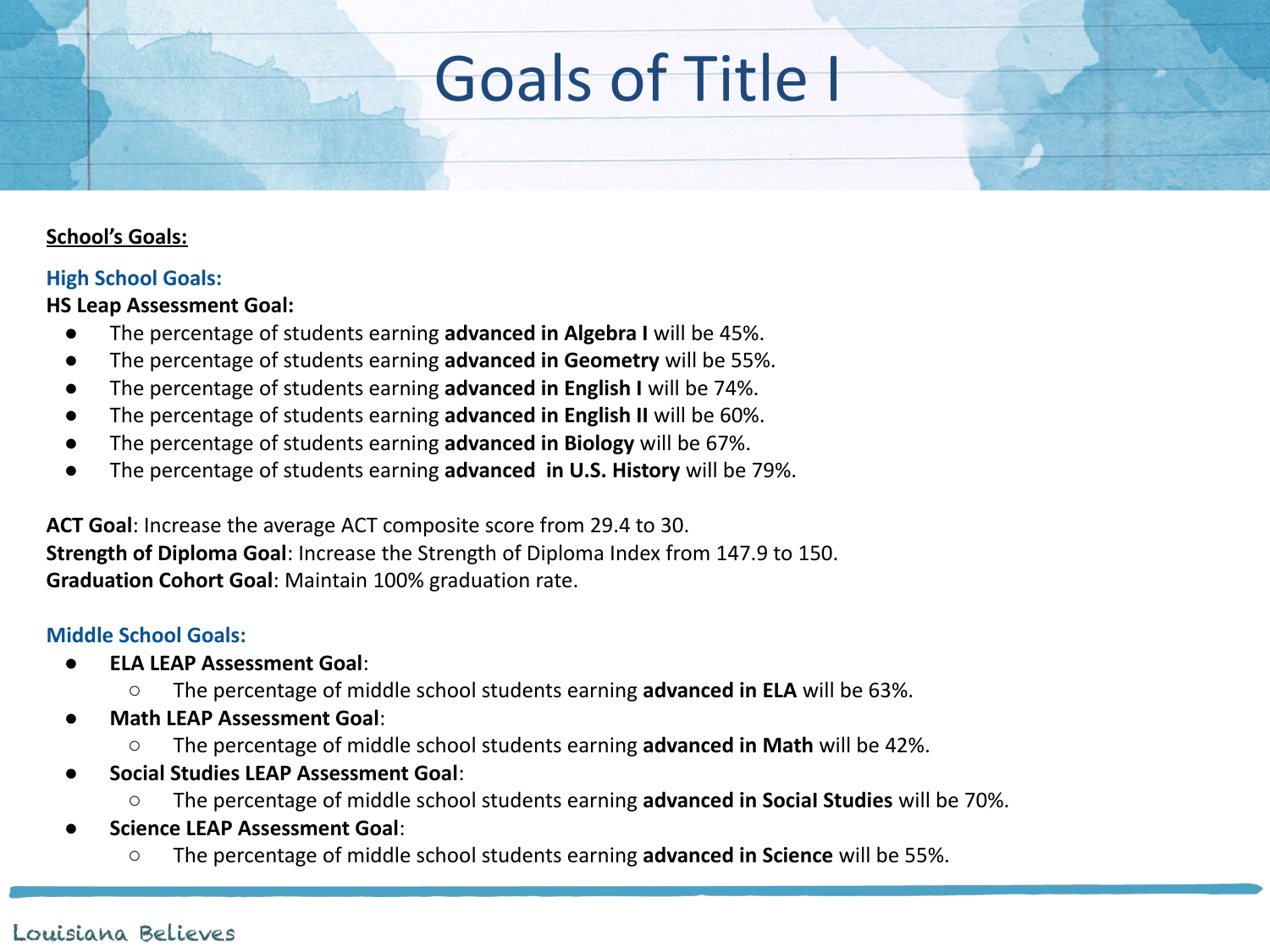## Goals of Title I

#### **School's Goals:**

#### **High School Goals:**

**HS Leap Assessment Goal:** 

- The percentage of students earning advanced in Algebra I will be 45%.
- The percentage of students earning **advanced in Geometry** will be 55%.
- The percentage of students earning **advanced in English I** will be 74%.
- The percentage of students earning **advanced in English II** will be 60%.
- The percentage of students earning **advanced in Biology** will be 67%.
- The percentage of students earning **advanced in U.S. History** will be 79%.

**ACT Goal**: Increase the average ACT composite score from 29.4 to 30. **Strength of Diploma Goal**: Increase the Strength of Diploma Index from 147.9 to 150. **Graduation Cohort Goal**: Maintain 100% graduation rate.

#### **Middle School Goals:**

- **ELA LEAP Assessment Goal:** 
	- The percentage of middle school students earning **advanced in ELA** will be 63%.
- **Math LEAP Assessment Goal:** 
	- The percentage of middle school students earning **advanced in Math** will be 42%.
- **Social Studies LEAP Assessment Goal**:
	- The percentage of middle school students earning **advanced in SociaI Studies** will be 70%.
- **Science LEAP Assessment Goal:** 
	- The percentage of middle school students earning **advanced in Science** will be 55%.

#### Louisiana Believes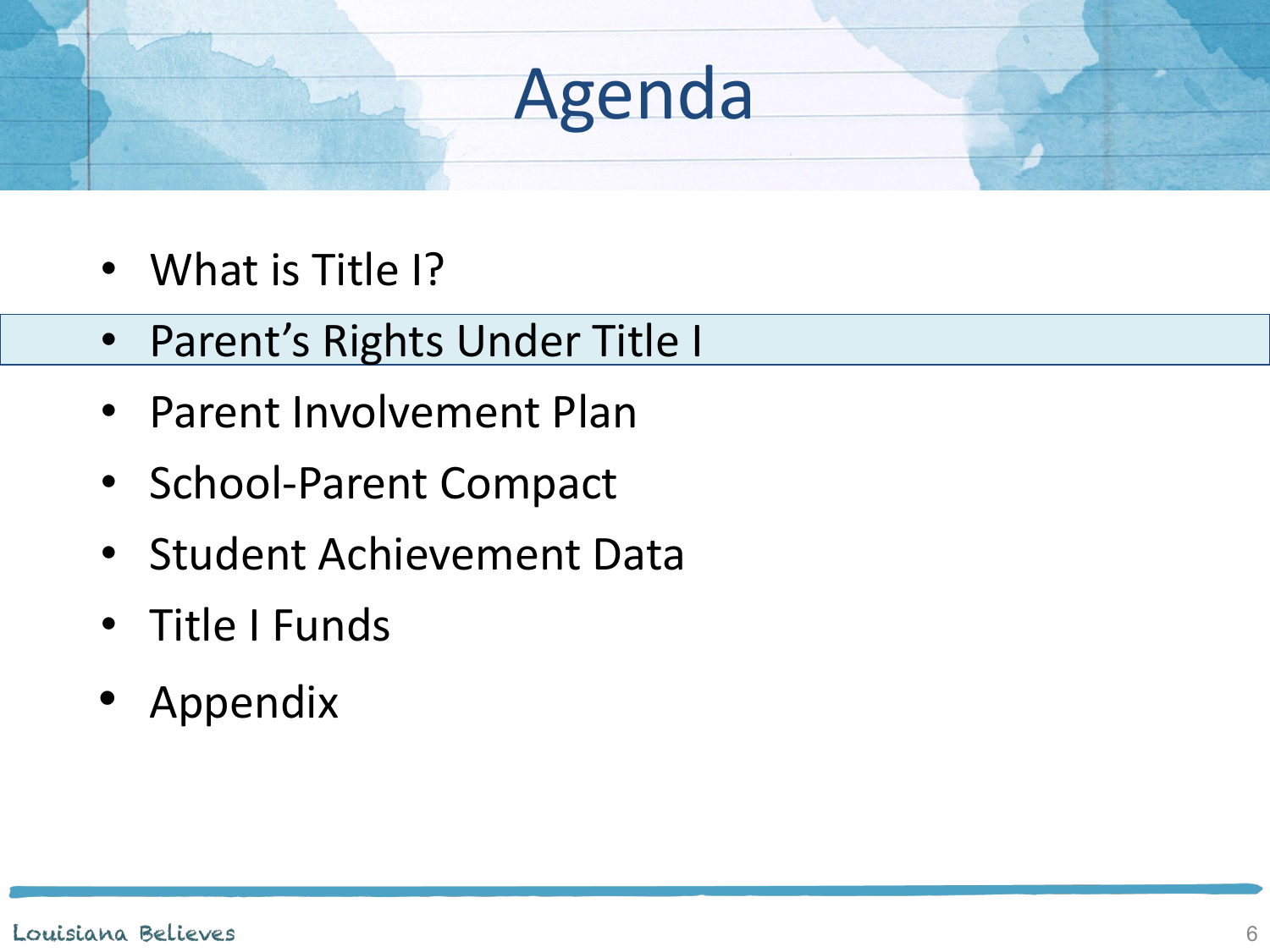- What is Title I?
- Parent's Rights Under Title I
- Parent Involvement Plan
- School-Parent Compact
- Student Achievement Data
- Title I Funds
- Appendix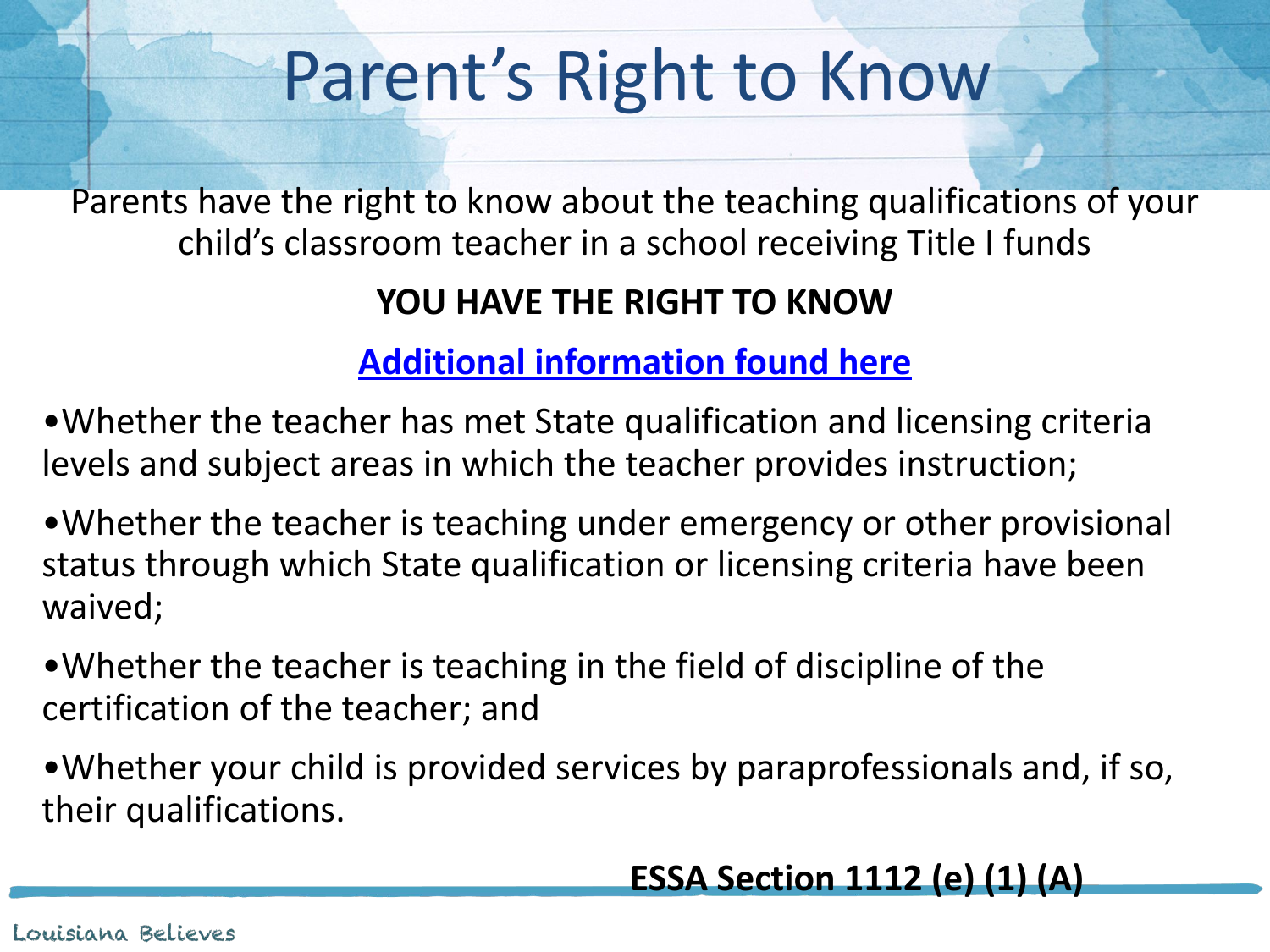# Parent's Right to Know

Parents have the right to know about the teaching qualifications of your child's classroom teacher in a school receiving Title I funds

### **YOU HAVE THE RIGHT TO KNOW**

### **[Additional information found here](https://www.jpschools.org/domain/1124)**

•Whether the teacher has met State qualification and licensing criteria levels and subject areas in which the teacher provides instruction;

•Whether the teacher is teaching under emergency or other provisional status through which State qualification or licensing criteria have been waived;

•Whether the teacher is teaching in the field of discipline of the certification of the teacher; and

•Whether your child is provided services by paraprofessionals and, if so, their qualifications.

### **ESSA Section 1112 (e) (1) (A)**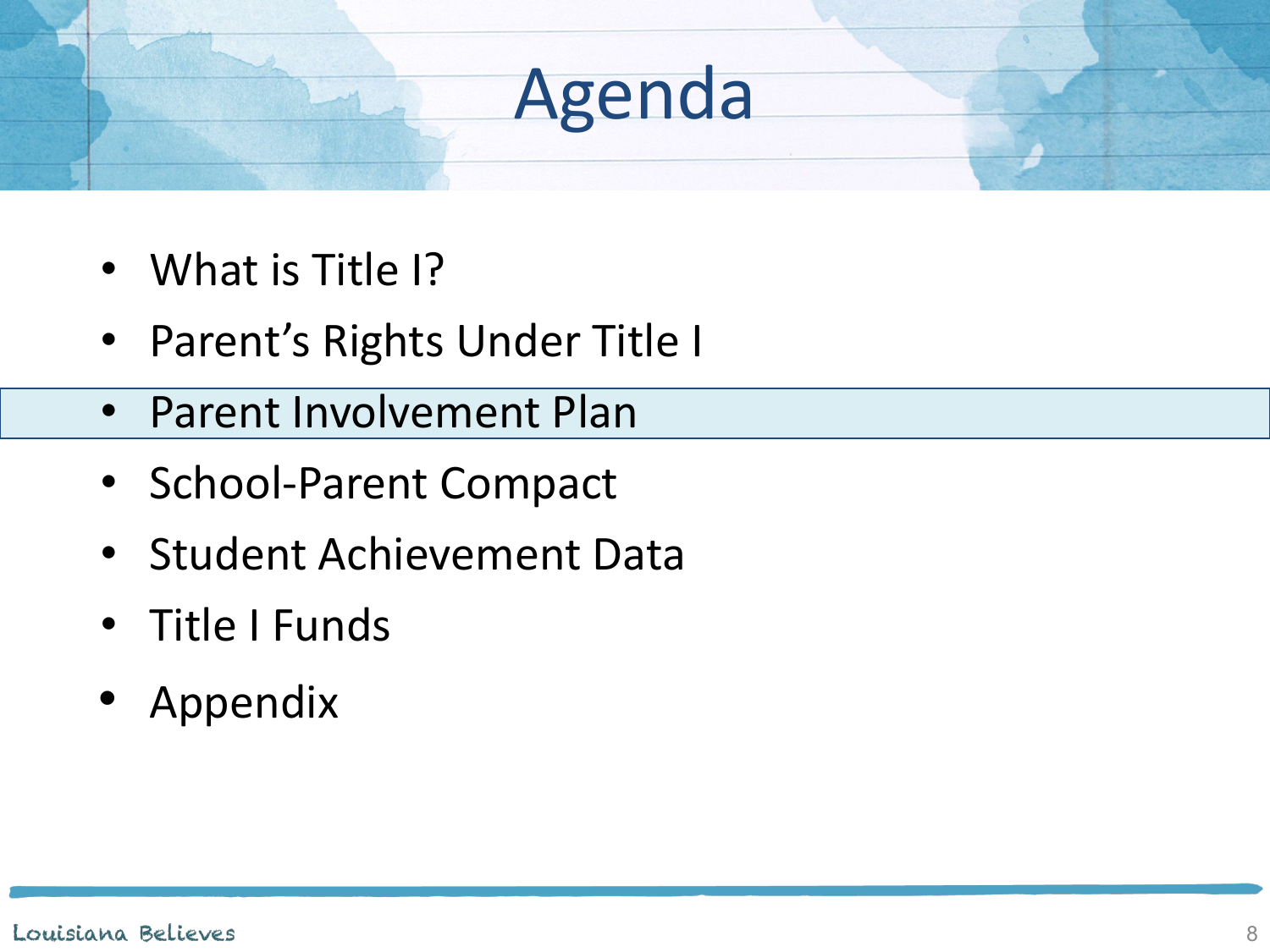- What is Title I?
- Parent's Rights Under Title I
- Parent Involvement Plan
- School-Parent Compact
- Student Achievement Data
- Title I Funds
- Appendix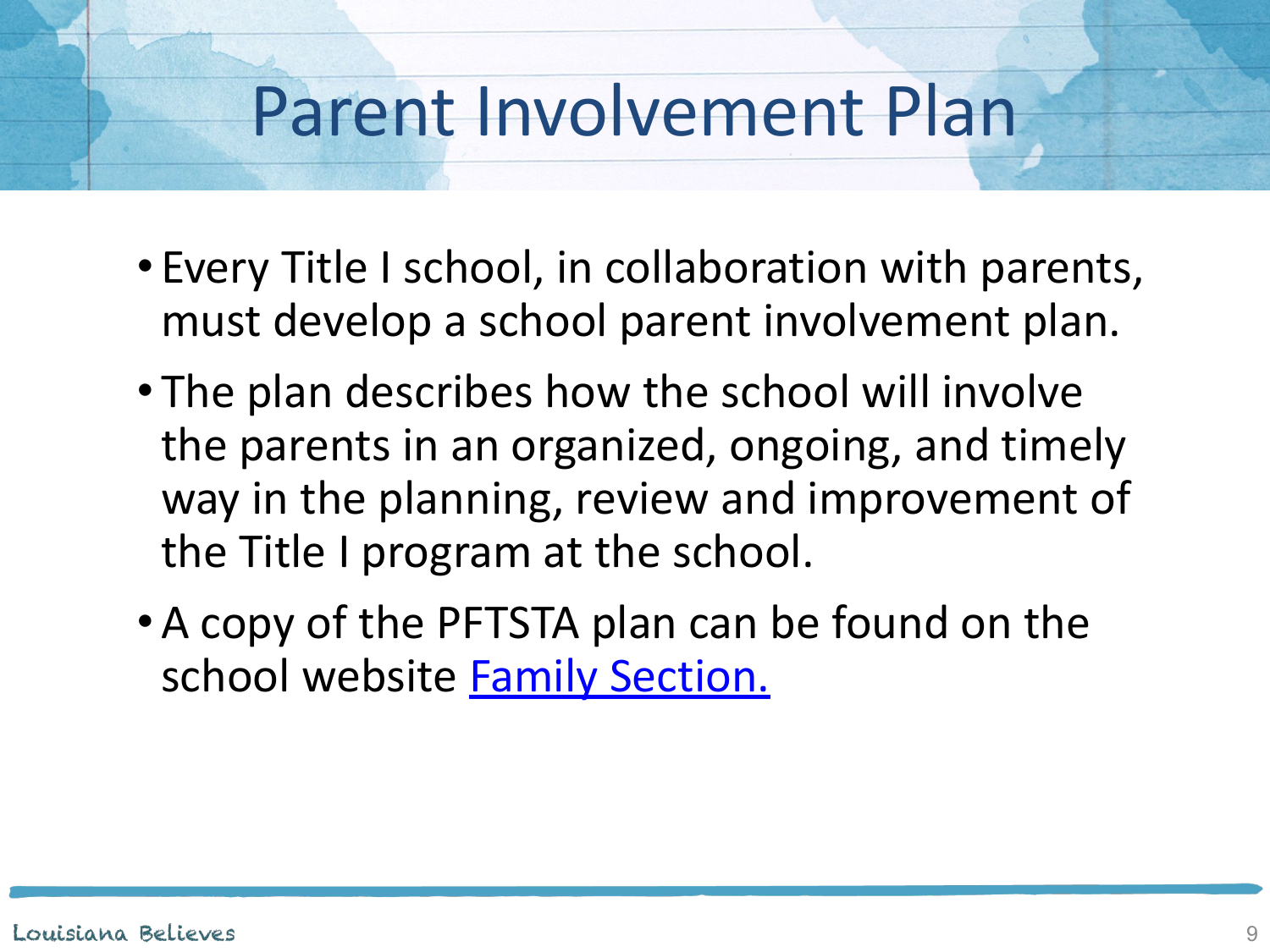## Parent Involvement Plan

- Every Title I school, in collaboration with parents, must develop a school parent involvement plan.
- The plan describes how the school will involve the parents in an organized, ongoing, and timely way in the planning, review and improvement of the Title I program at the school.
- •A copy of the PFTSTA plan can be found on the school website [Family Section.](https://www.jpschools.org/domain/1124)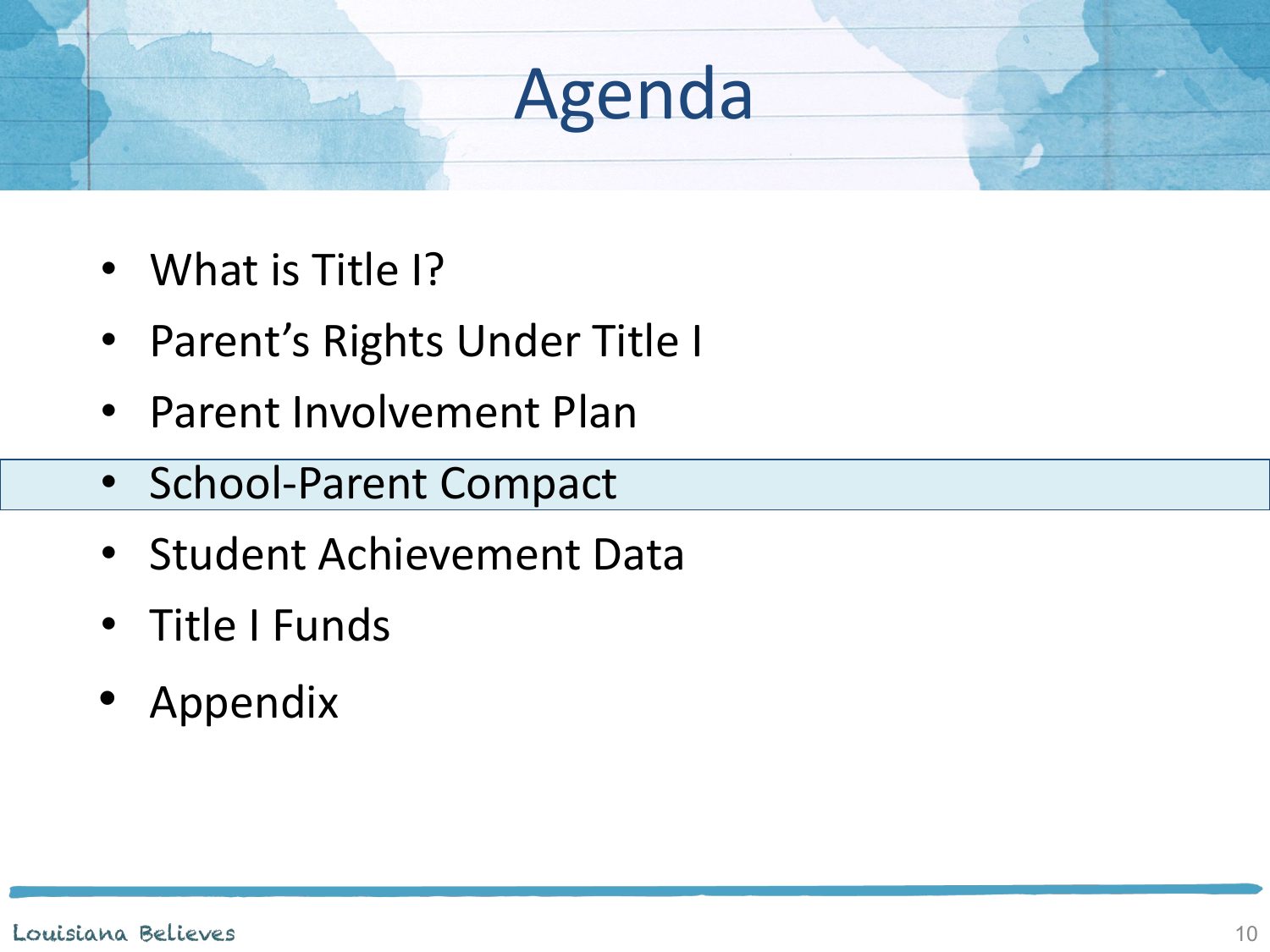- What is Title I?
- Parent's Rights Under Title I
- Parent Involvement Plan
- School-Parent Compact
- Student Achievement Data
- Title I Funds
- Appendix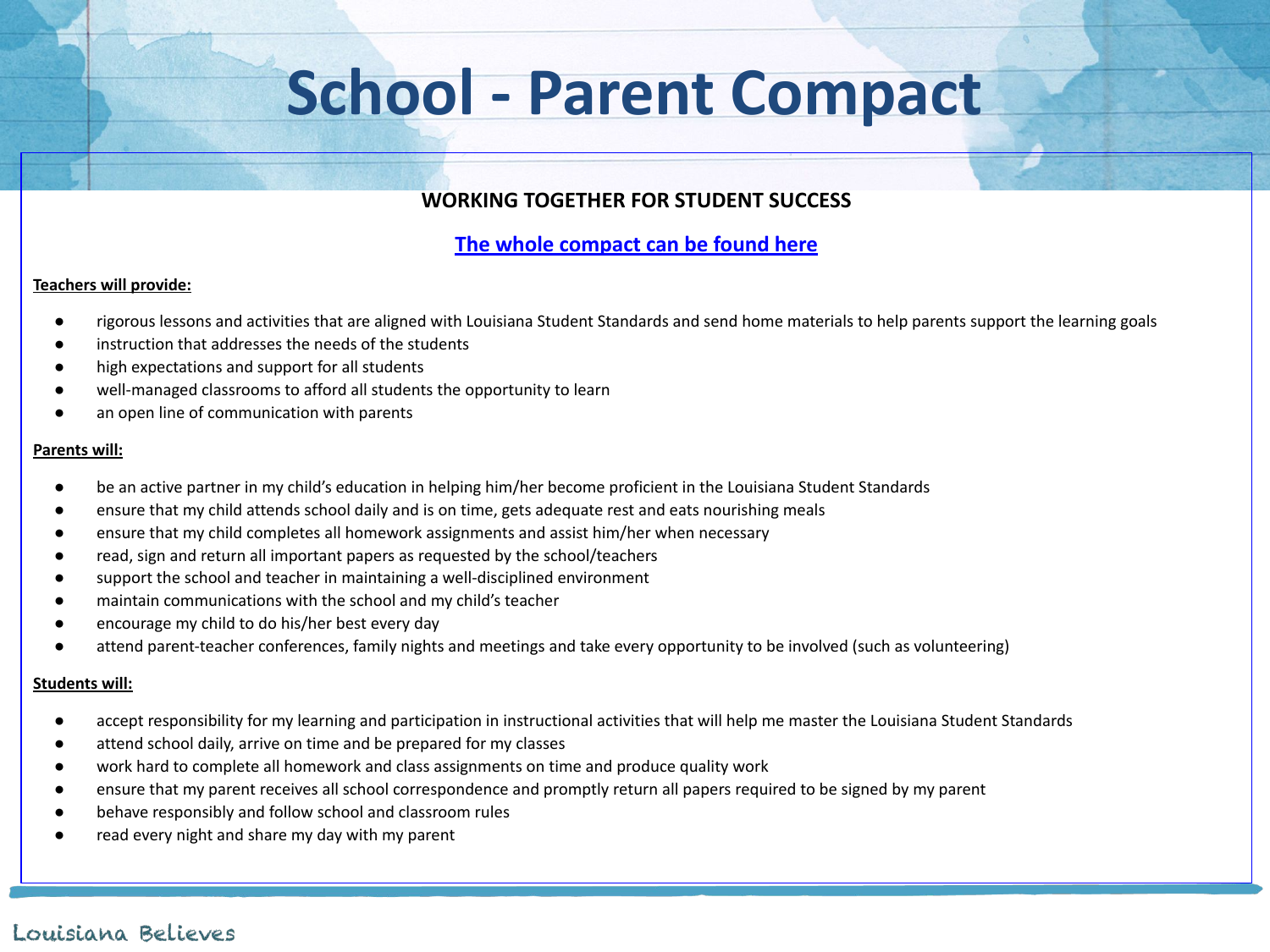## **School - Parent Compact**

#### **WORKING TOGETHER FOR STUDENT SUCCESS**

#### **[The whole compact can be found here](https://www.jpschools.org/domain/1124)**

#### **Teachers will provide:**

- rigorous lessons and activities that are aligned with Louisiana Student Standards and send home materials to help parents support the learning goals
- instruction that addresses the needs of the students
- high expectations and support for all students
- well-managed classrooms to afford all students the opportunity to learn
- an open line of communication with parents

#### **Parents will:**

- be an active partner in my child's education in helping him/her become proficient in the Louisiana Student Standards
- ensure that my child attends school daily and is on time, gets adequate rest and eats nourishing meals
- ensure that my child completes all homework assignments and assist him/her when necessary
- read, sign and return all important papers as requested by the school/teachers
- support the school and teacher in maintaining a well-disciplined environment
- maintain communications with the school and my child's teacher
- encourage my child to do his/her best every day
- attend parent-teacher conferences, family nights and meetings and take every opportunity to be involved (such as volunteering)

#### **Students will:**

- accept responsibility for my learning and participation in instructional activities that will help me master the Louisiana Student Standards
- attend school daily, arrive on time and be prepared for my classes
- work hard to complete all homework and class assignments on time and produce quality work
- ensure that my parent receives all school correspondence and promptly return all papers required to be signed by my parent
- behave responsibly and follow school and classroom rules
- read every night and share my day with my parent

#### Louisiana Believes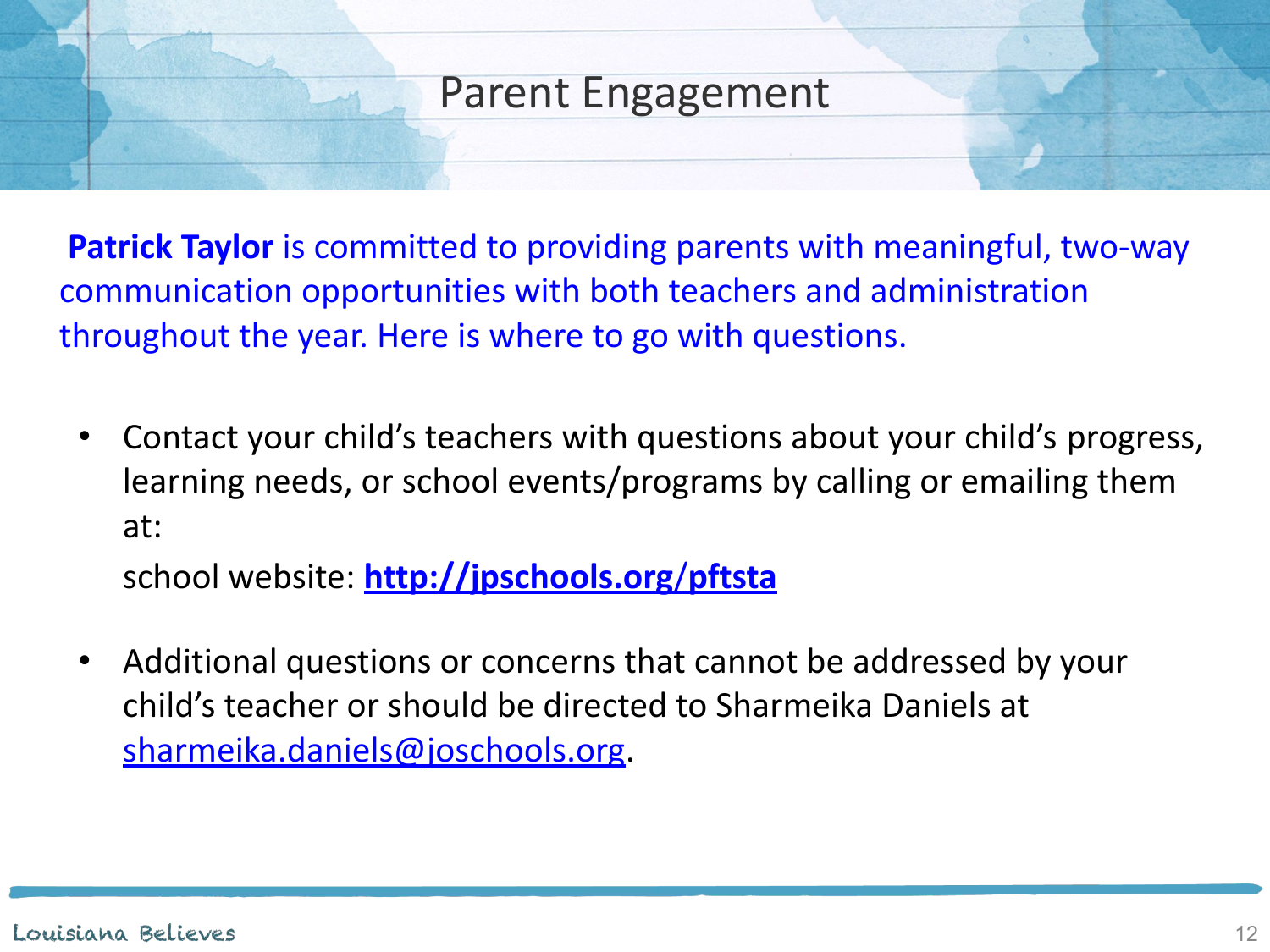### Parent Engagement

**Patrick Taylor** is committed to providing parents with meaningful, two-way communication opportunities with both teachers and administration throughout the year. Here is where to go with questions.

• Contact your child's teachers with questions about your child's progress, learning needs, or school events/programs by calling or emailing them at:

school website: **[http://jpschools.org](https://www.jpschools.org/pftsta)**/**pftsta**

• Additional questions or concerns that cannot be addressed by your child's teacher or should be directed to Sharmeika Daniels at [sharmeika.daniels@joschools.org.](mailto:sharmeika.daniels@joschools.org)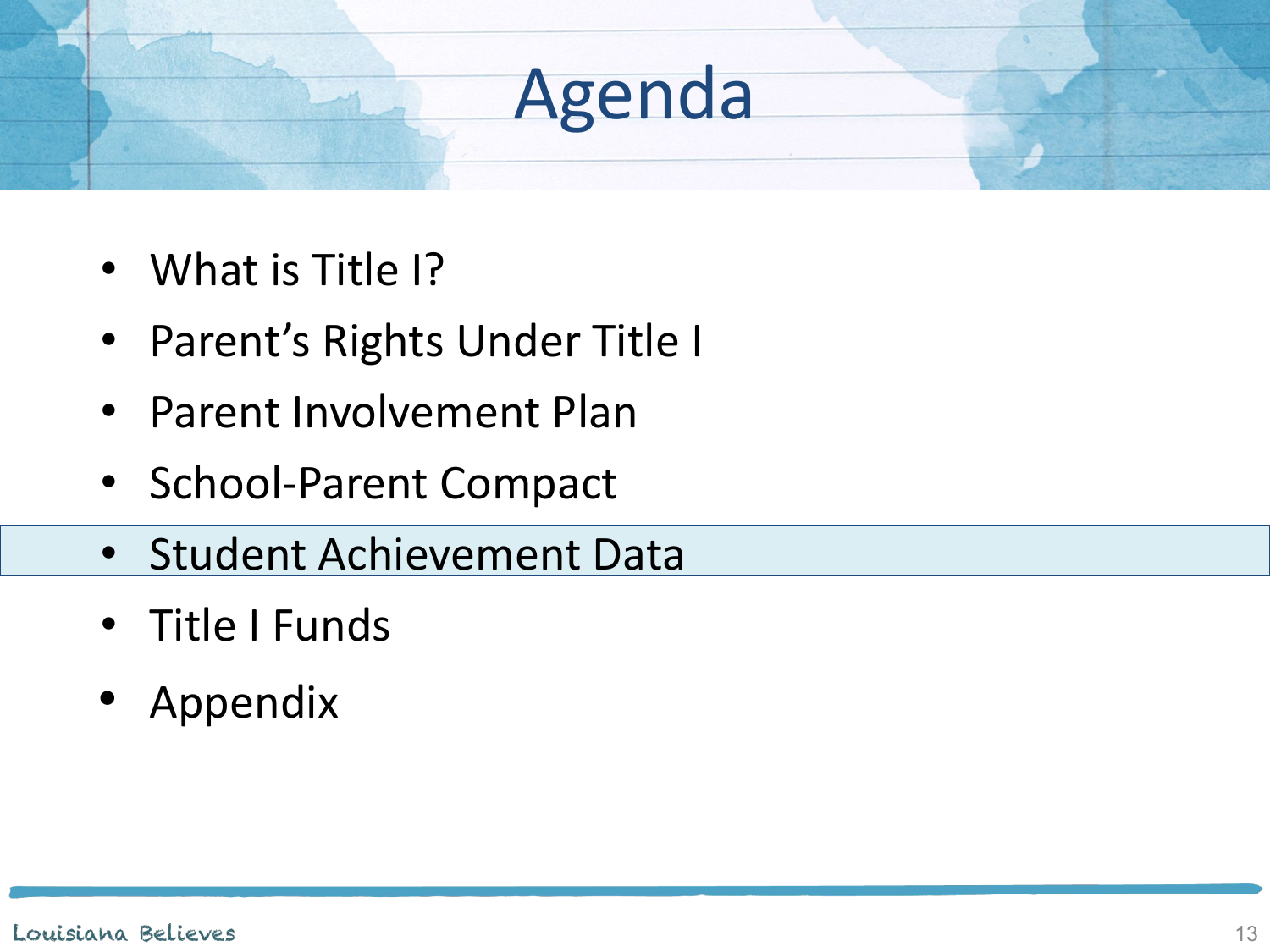- What is Title I?
- Parent's Rights Under Title I
- Parent Involvement Plan
- School-Parent Compact
- Student Achievement Data
- Title I Funds
- Appendix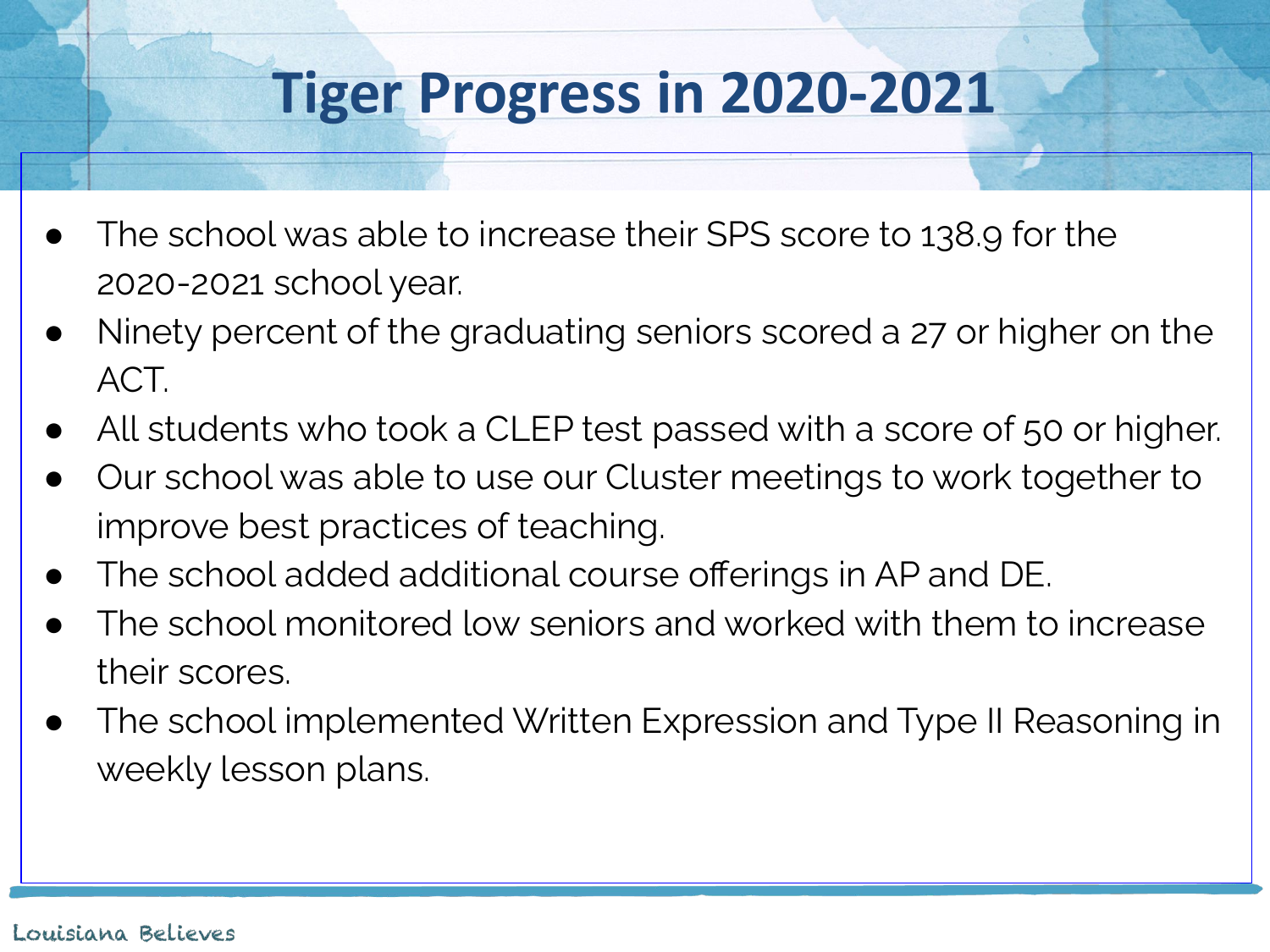## **Tiger Progress in 2020-2021**

- The school was able to increase their SPS score to 138.9 for the 2020-2021 school year.
- Ninety percent of the graduating seniors scored a 27 or higher on the ACT.
- All students who took a CLEP test passed with a score of 50 or higher.
- Our school was able to use our Cluster meetings to work together to improve best practices of teaching.
- The school added additional course offerings in AP and DE.
- The school monitored low seniors and worked with them to increase their scores.
- The school implemented Written Expression and Type II Reasoning in weekly lesson plans.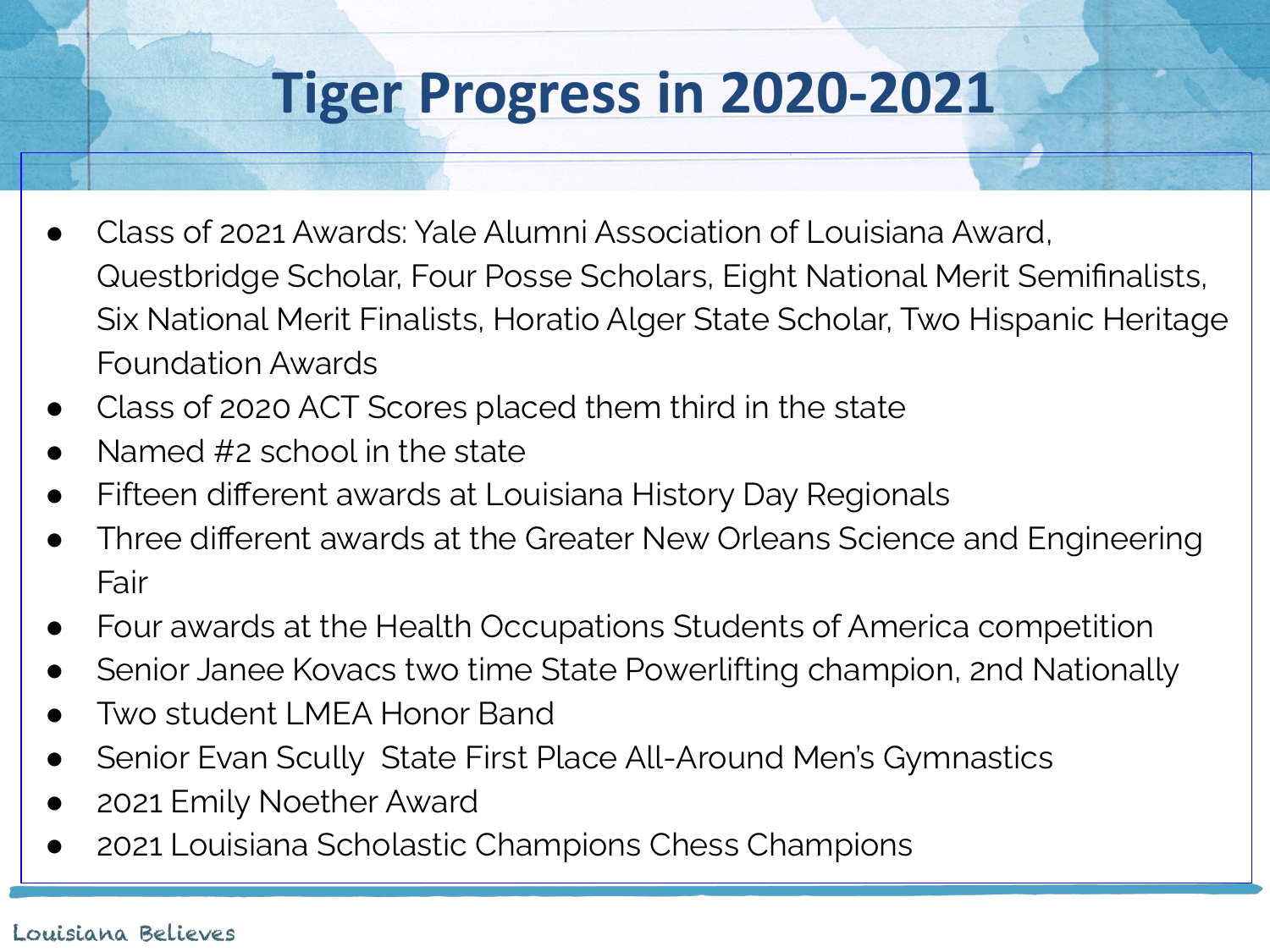## **Tiger Progress in 2020-2021**

- Class of 2021 Awards: Yale Alumni Association of Louisiana Award, Questbridge Scholar, Four Posse Scholars, Eight National Merit Semifinalists, Six National Merit Finalists, Horatio Alger State Scholar, Two Hispanic Heritage Foundation Awards
- Class of 2020 ACT Scores placed them third in the state
- Named  $#2$  school in the state
- Fifteen different awards at Louisiana History Day Regionals
- Three different awards at the Greater New Orleans Science and Engineering Fair
- Four awards at the Health Occupations Students of America competition
- Senior Janee Kovacs two time State Powerlifting champion, 2nd Nationally
- Two student LMEA Honor Band
- Senior Evan Scully State First Place All-Around Men's Gymnastics
- 2021 Emily Noether Award
- 2021 Louisiana Scholastic Champions Chess Champions

#### Louisiana Believes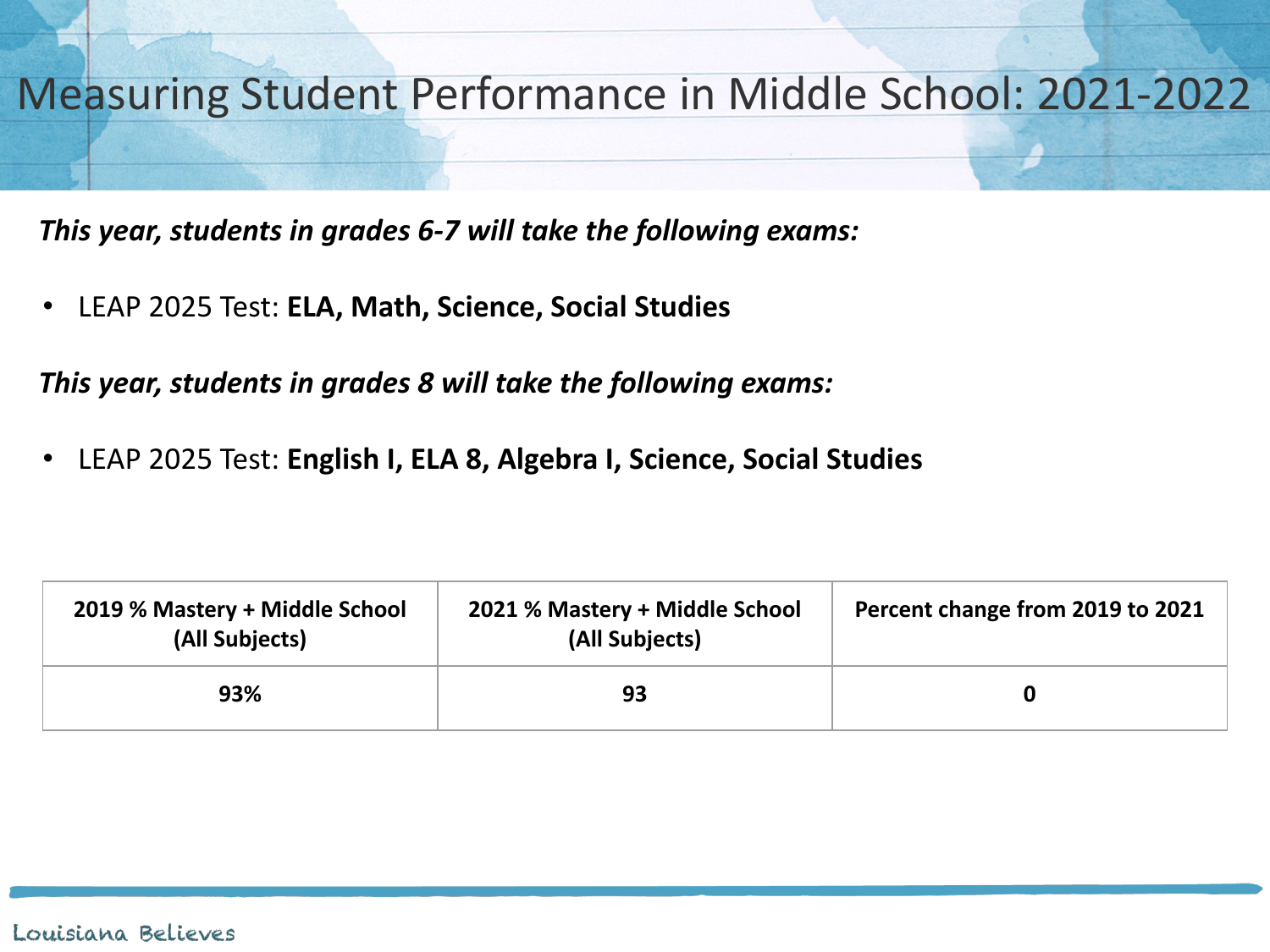

*This year, students in grades 6-7 will take the following exams:*

• LEAP 2025 Test: **ELA, Math, Science, Social Studies** 

*This year, students in grades 8 will take the following exams:*

• LEAP 2025 Test: **English I, ELA 8, Algebra I, Science, Social Studies**

| 2019 % Mastery + Middle School<br>(All Subjects) | 2021 % Mastery + Middle School<br>(All Subjects) | Percent change from 2019 to 2021 |
|--------------------------------------------------|--------------------------------------------------|----------------------------------|
| 93%                                              | 93                                               |                                  |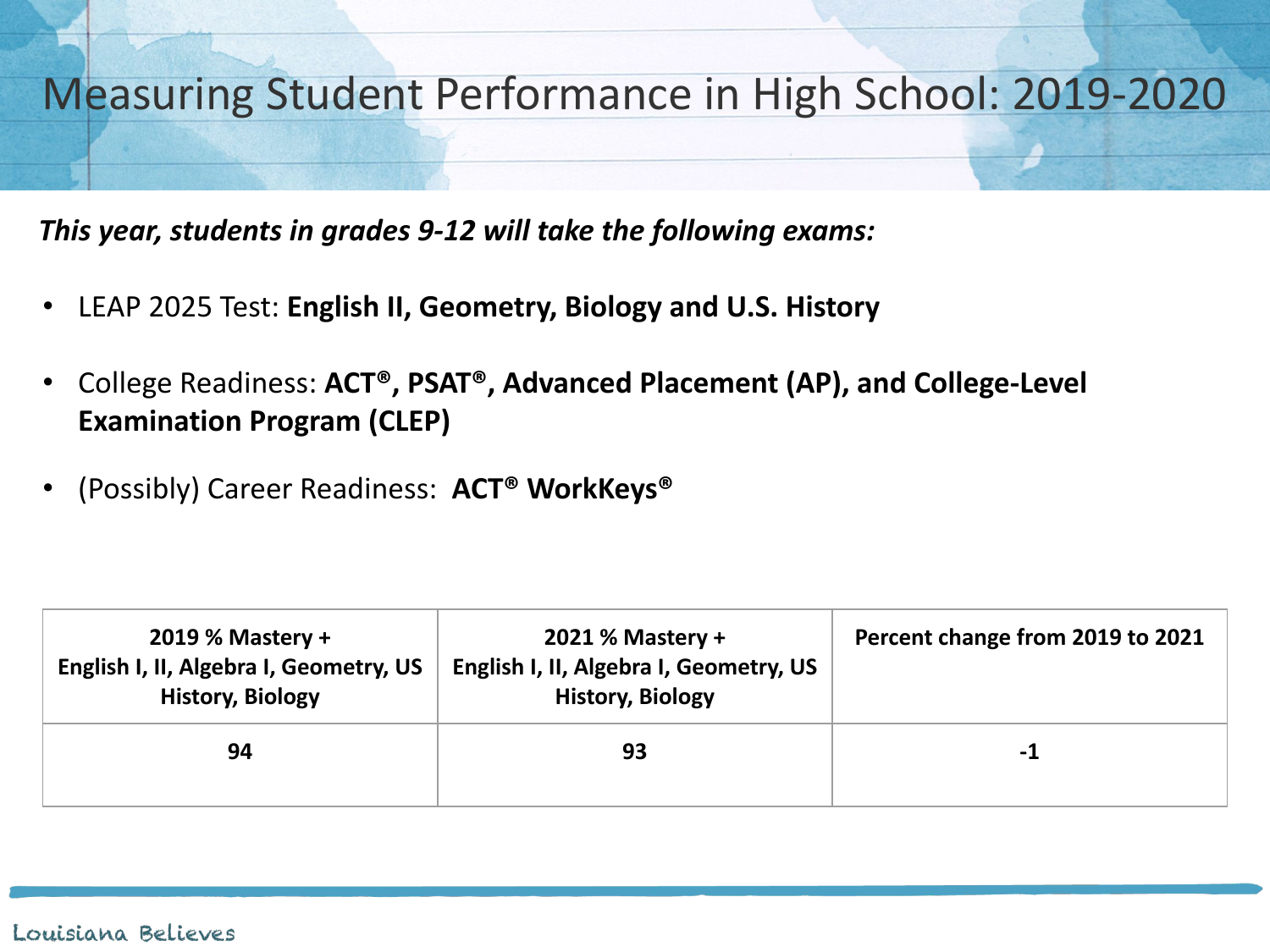

*This year, students in grades 9-12 will take the following exams:*

- LEAP 2025 Test: **English II, Geometry, Biology and U.S. History**
- College Readiness: **ACT®, PSAT®, Advanced Placement (AP), and College-Level Examination Program (CLEP)**
- (Possibly) Career Readiness: **ACT® WorkKeys®**

| 2019 % Mastery +<br>English I, II, Algebra I, Geometry, US<br><b>History, Biology</b> | <b>2021 % Mastery +</b><br>English I, II, Algebra I, Geometry, US<br><b>History, Biology</b> | Percent change from 2019 to 2021 |
|---------------------------------------------------------------------------------------|----------------------------------------------------------------------------------------------|----------------------------------|
| 94                                                                                    | 93                                                                                           | -1                               |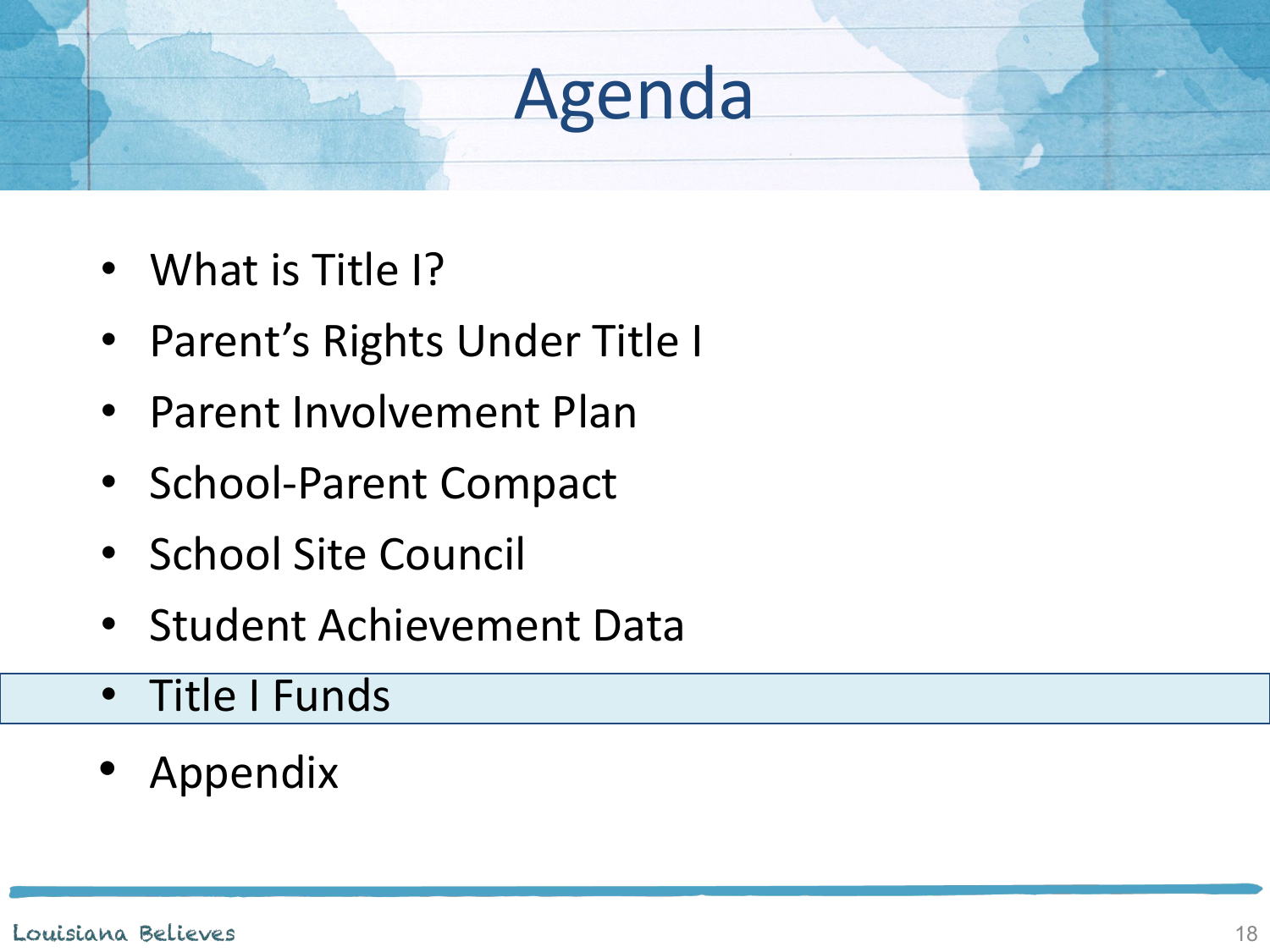- What is Title I?
- Parent's Rights Under Title I
- Parent Involvement Plan
- School-Parent Compact
- School Site Council
- Student Achievement Data
- Title I Funds
- Appendix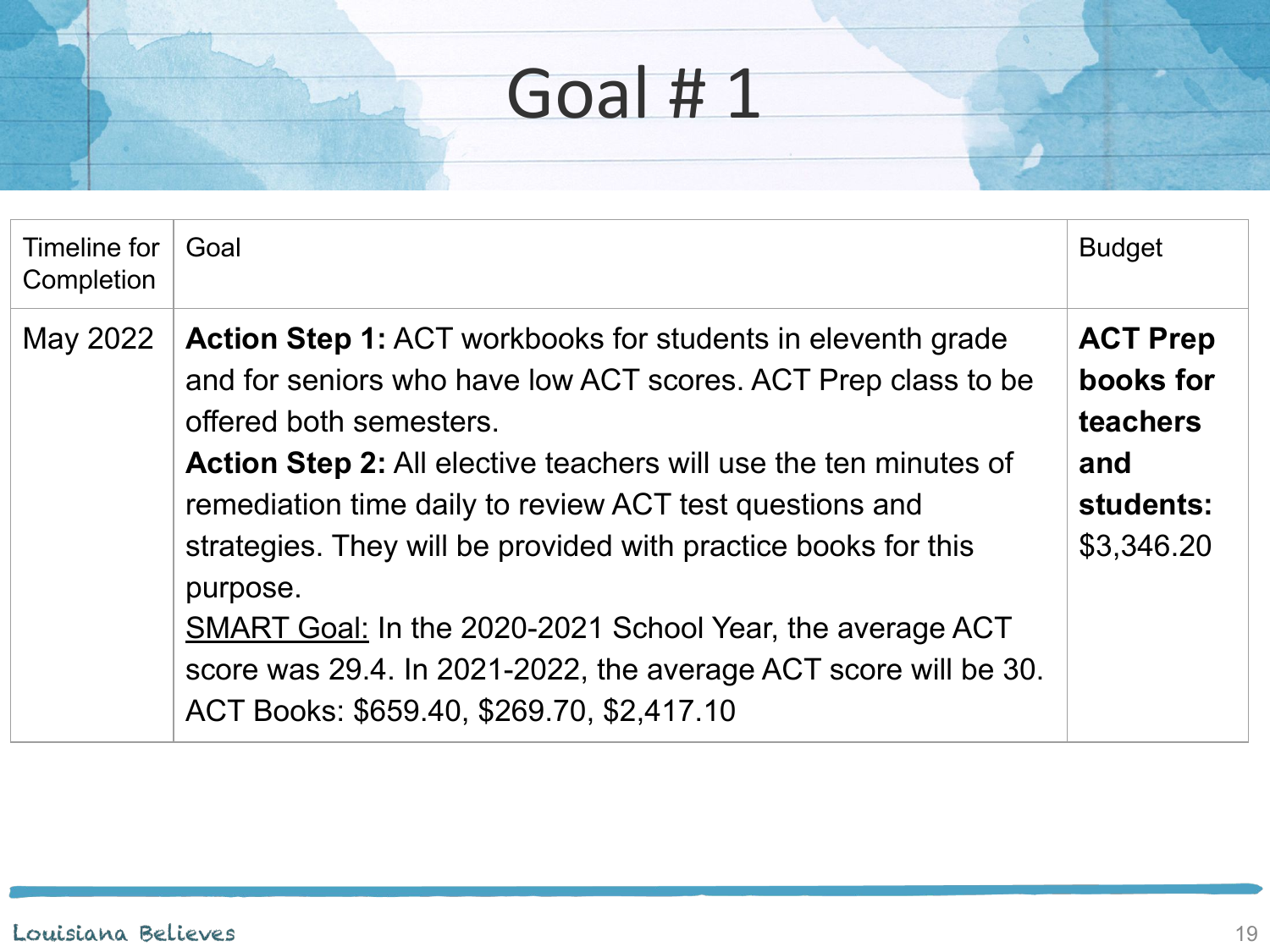| Timeline for<br>Completion | Goal                                                                                                                                                                                                                                                                                                                                                                                                                                                                                                                                                                   | <b>Budget</b>                                                              |
|----------------------------|------------------------------------------------------------------------------------------------------------------------------------------------------------------------------------------------------------------------------------------------------------------------------------------------------------------------------------------------------------------------------------------------------------------------------------------------------------------------------------------------------------------------------------------------------------------------|----------------------------------------------------------------------------|
| May 2022                   | <b>Action Step 1: ACT workbooks for students in eleventh grade</b><br>and for seniors who have low ACT scores. ACT Prep class to be<br>offered both semesters.<br><b>Action Step 2:</b> All elective teachers will use the ten minutes of<br>remediation time daily to review ACT test questions and<br>strategies. They will be provided with practice books for this<br>purpose.<br><b>SMART Goal: In the 2020-2021 School Year, the average ACT</b><br>score was 29.4. In 2021-2022, the average ACT score will be 30.<br>ACT Books: \$659.40, \$269.70, \$2,417.10 | <b>ACT Prep</b><br>books for<br>teachers<br>and<br>students:<br>\$3,346.20 |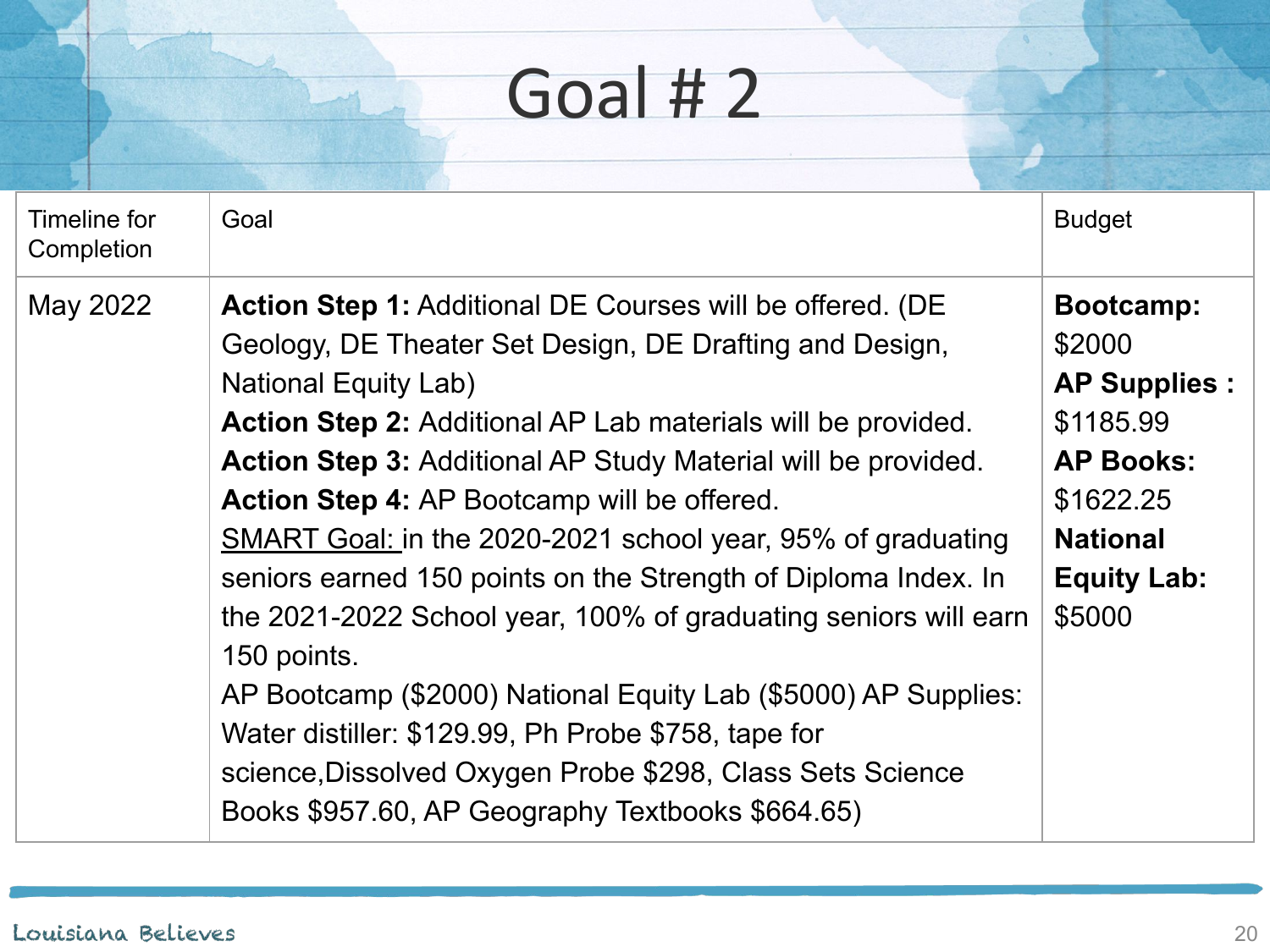| Timeline for<br>Completion | Goal                                                                                                                                                                                                                                                                                                                                                                                                                                                                                                                                                                                                                                                                                                                                                                                                                  | <b>Budget</b>                                                                                                                               |
|----------------------------|-----------------------------------------------------------------------------------------------------------------------------------------------------------------------------------------------------------------------------------------------------------------------------------------------------------------------------------------------------------------------------------------------------------------------------------------------------------------------------------------------------------------------------------------------------------------------------------------------------------------------------------------------------------------------------------------------------------------------------------------------------------------------------------------------------------------------|---------------------------------------------------------------------------------------------------------------------------------------------|
| May 2022                   | <b>Action Step 1: Additional DE Courses will be offered. (DE</b><br>Geology, DE Theater Set Design, DE Drafting and Design,<br><b>National Equity Lab)</b><br><b>Action Step 2:</b> Additional AP Lab materials will be provided.<br><b>Action Step 3: Additional AP Study Material will be provided.</b><br>Action Step 4: AP Bootcamp will be offered.<br>SMART Goal: in the 2020-2021 school year, 95% of graduating<br>seniors earned 150 points on the Strength of Diploma Index. In<br>the 2021-2022 School year, 100% of graduating seniors will earn<br>150 points.<br>AP Bootcamp (\$2000) National Equity Lab (\$5000) AP Supplies:<br>Water distiller: \$129.99, Ph Probe \$758, tape for<br>science, Dissolved Oxygen Probe \$298, Class Sets Science<br>Books \$957.60, AP Geography Textbooks \$664.65) | Bootcamp:<br>\$2000<br><b>AP Supplies:</b><br>\$1185.99<br><b>AP Books:</b><br>\$1622.25<br><b>National</b><br><b>Equity Lab:</b><br>\$5000 |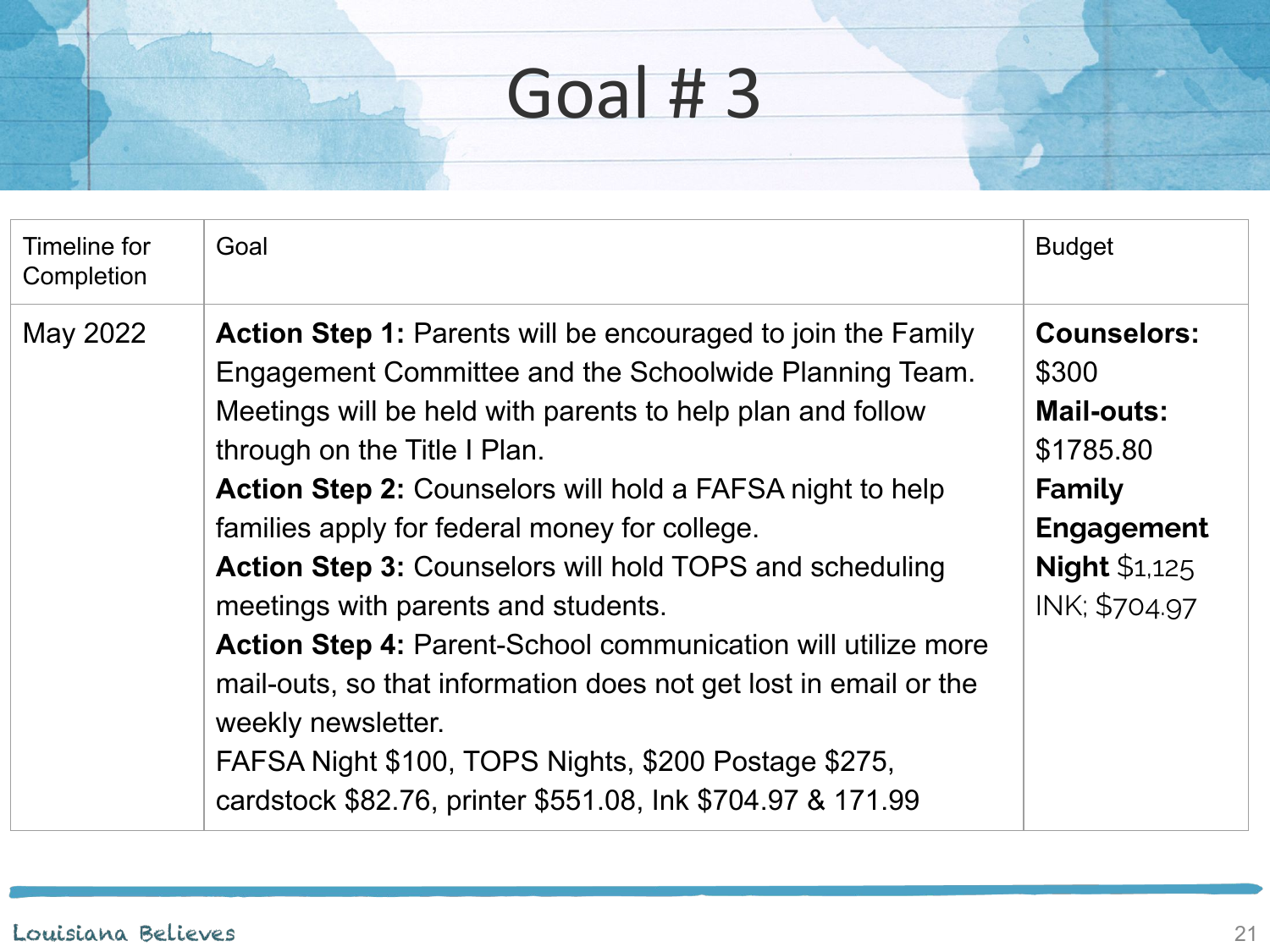| Timeline for<br>Completion | Goal                                                                                                                                                                                                                                                                                                                                                                                                                                                                                                                                                                                                                                                                                                                                             | <b>Budget</b>                                                                                                                         |
|----------------------------|--------------------------------------------------------------------------------------------------------------------------------------------------------------------------------------------------------------------------------------------------------------------------------------------------------------------------------------------------------------------------------------------------------------------------------------------------------------------------------------------------------------------------------------------------------------------------------------------------------------------------------------------------------------------------------------------------------------------------------------------------|---------------------------------------------------------------------------------------------------------------------------------------|
| May 2022                   | <b>Action Step 1: Parents will be encouraged to join the Family</b><br>Engagement Committee and the Schoolwide Planning Team.<br>Meetings will be held with parents to help plan and follow<br>through on the Title I Plan.<br><b>Action Step 2:</b> Counselors will hold a FAFSA night to help<br>families apply for federal money for college.<br><b>Action Step 3: Counselors will hold TOPS and scheduling</b><br>meetings with parents and students.<br><b>Action Step 4: Parent-School communication will utilize more</b><br>mail-outs, so that information does not get lost in email or the<br>weekly newsletter.<br>FAFSA Night \$100, TOPS Nights, \$200 Postage \$275,<br>cardstock \$82.76, printer \$551.08, Ink \$704.97 & 171.99 | <b>Counselors:</b><br>\$300<br><b>Mail-outs:</b><br>\$1785.80<br>Family<br><b>Engagement</b><br><b>Night \$1,125</b><br>INK; \$704.97 |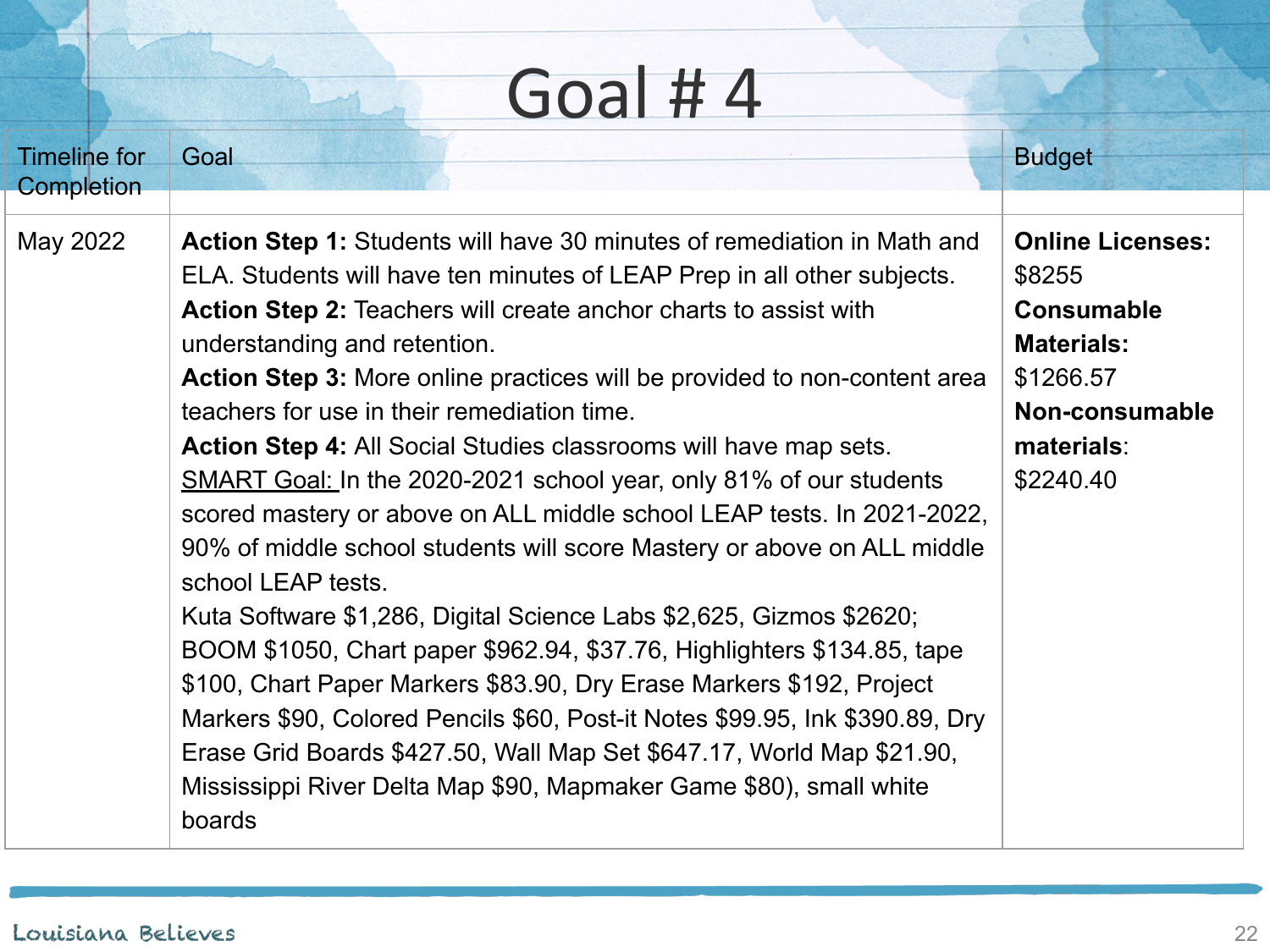| <b>Timeline for</b> | Goal                                                                                                                                                                                                                                                                                                                                                                                                                                                                                                                                                                                                                                                                                                                                                                                                                                                                                                                                                                                                                                                                                                                                                                                     | <b>Budget</b>                                                                                                                         |
|---------------------|------------------------------------------------------------------------------------------------------------------------------------------------------------------------------------------------------------------------------------------------------------------------------------------------------------------------------------------------------------------------------------------------------------------------------------------------------------------------------------------------------------------------------------------------------------------------------------------------------------------------------------------------------------------------------------------------------------------------------------------------------------------------------------------------------------------------------------------------------------------------------------------------------------------------------------------------------------------------------------------------------------------------------------------------------------------------------------------------------------------------------------------------------------------------------------------|---------------------------------------------------------------------------------------------------------------------------------------|
| Completion          |                                                                                                                                                                                                                                                                                                                                                                                                                                                                                                                                                                                                                                                                                                                                                                                                                                                                                                                                                                                                                                                                                                                                                                                          |                                                                                                                                       |
| May 2022            | <b>Action Step 1:</b> Students will have 30 minutes of remediation in Math and<br>ELA. Students will have ten minutes of LEAP Prep in all other subjects.<br><b>Action Step 2: Teachers will create anchor charts to assist with</b><br>understanding and retention.<br>Action Step 3: More online practices will be provided to non-content area<br>teachers for use in their remediation time.<br>Action Step 4: All Social Studies classrooms will have map sets.<br>SMART Goal: In the 2020-2021 school year, only 81% of our students<br>scored mastery or above on ALL middle school LEAP tests. In 2021-2022,<br>90% of middle school students will score Mastery or above on ALL middle<br>school LEAP tests.<br>Kuta Software \$1,286, Digital Science Labs \$2,625, Gizmos \$2620;<br>BOOM \$1050, Chart paper \$962.94, \$37.76, Highlighters \$134.85, tape<br>\$100, Chart Paper Markers \$83.90, Dry Erase Markers \$192, Project<br>Markers \$90, Colored Pencils \$60, Post-it Notes \$99.95, Ink \$390.89, Dry<br>Erase Grid Boards \$427.50, Wall Map Set \$647.17, World Map \$21.90,<br>Mississippi River Delta Map \$90, Mapmaker Game \$80), small white<br>boards | <b>Online Licenses:</b><br>\$8255<br><b>Consumable</b><br><b>Materials:</b><br>\$1266.57<br>Non-consumable<br>materials:<br>\$2240.40 |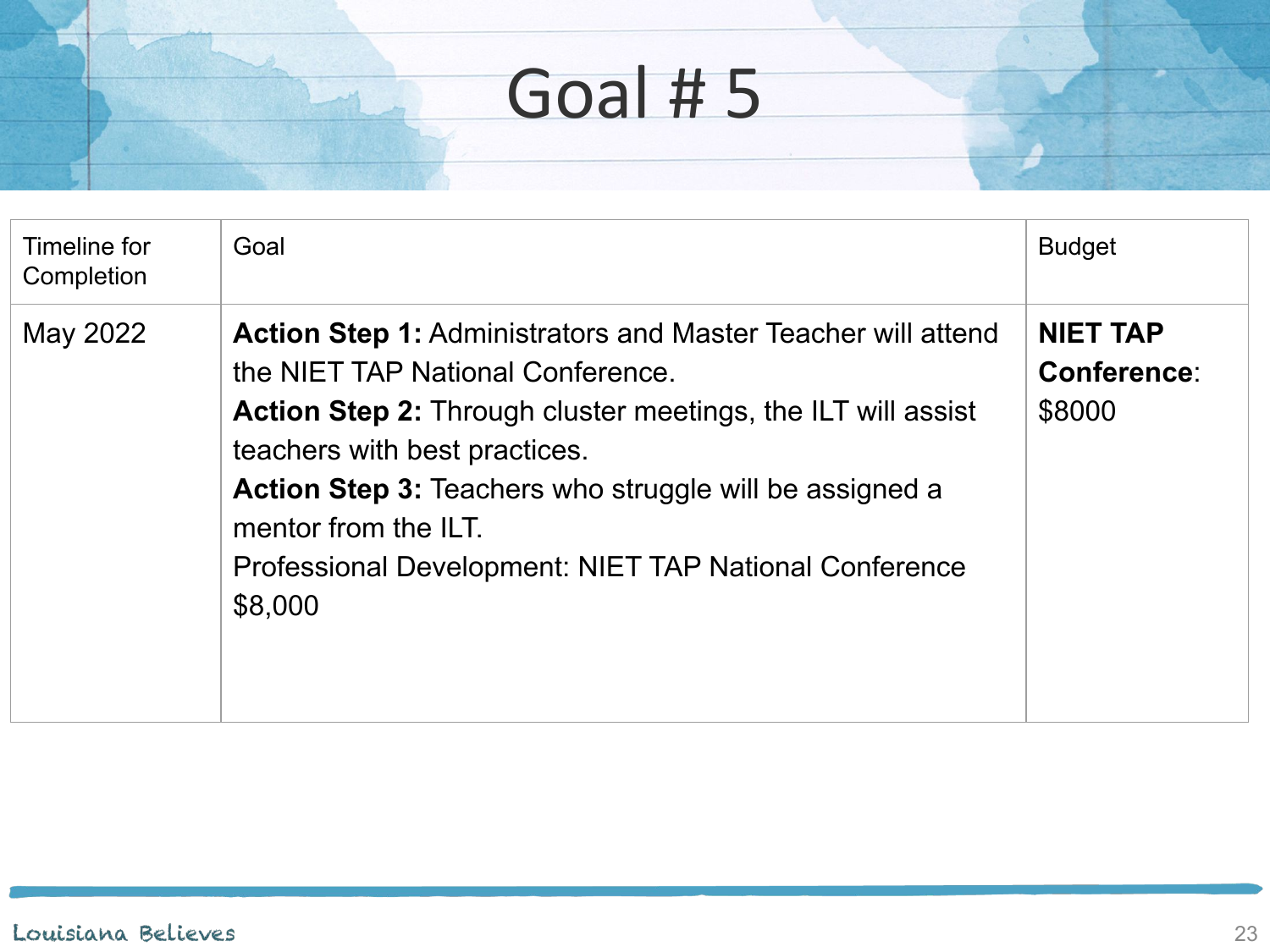| Timeline for<br>Completion | Goal                                                                                                                                                                                                                                                                                                                                                                            | <b>Budget</b>                                   |
|----------------------------|---------------------------------------------------------------------------------------------------------------------------------------------------------------------------------------------------------------------------------------------------------------------------------------------------------------------------------------------------------------------------------|-------------------------------------------------|
| May 2022                   | <b>Action Step 1: Administrators and Master Teacher will attend</b><br>the NIET TAP National Conference.<br><b>Action Step 2:</b> Through cluster meetings, the ILT will assist<br>teachers with best practices.<br><b>Action Step 3: Teachers who struggle will be assigned a</b><br>mentor from the ILT.<br>Professional Development: NIET TAP National Conference<br>\$8,000 | <b>NIET TAP</b><br><b>Conference:</b><br>\$8000 |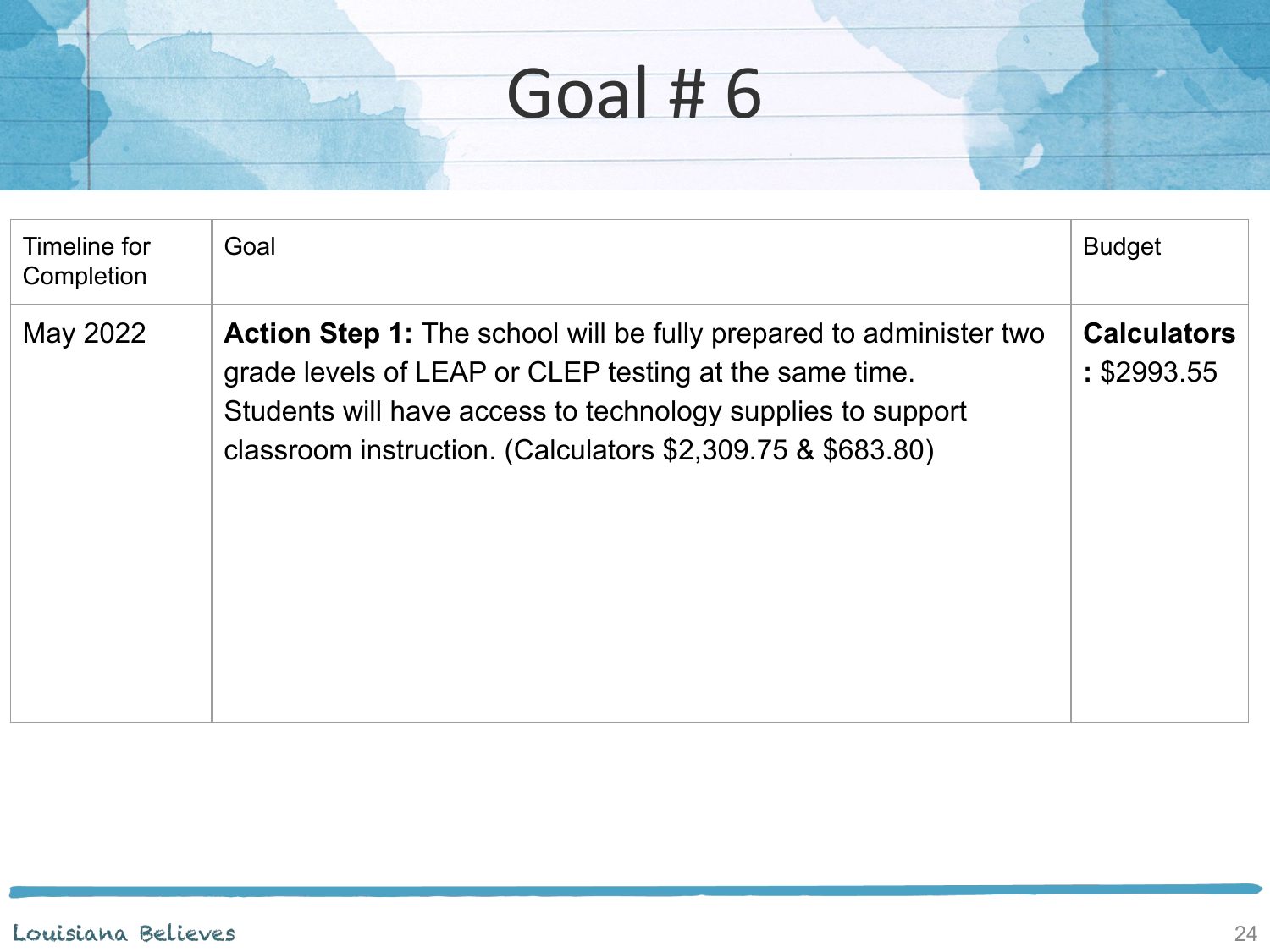| Timeline for<br>Completion | Goal                                                                                                                                                                                                                                                             | <b>Budget</b>                     |
|----------------------------|------------------------------------------------------------------------------------------------------------------------------------------------------------------------------------------------------------------------------------------------------------------|-----------------------------------|
| May 2022                   | <b>Action Step 1:</b> The school will be fully prepared to administer two<br>grade levels of LEAP or CLEP testing at the same time.<br>Students will have access to technology supplies to support<br>classroom instruction. (Calculators \$2,309.75 & \$683.80) | <b>Calculators</b><br>: \$2993.55 |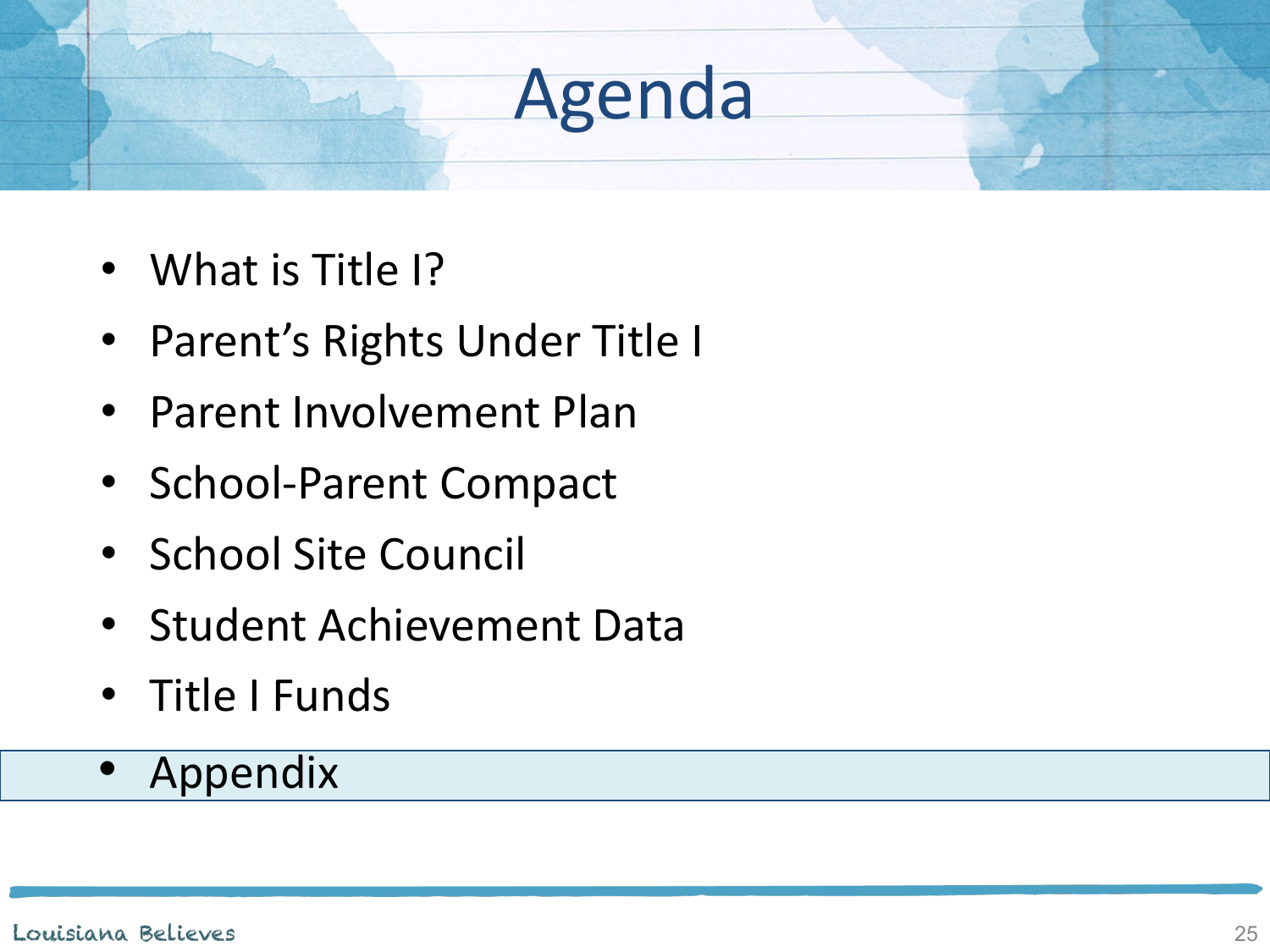- What is Title I?
- Parent's Rights Under Title I
- Parent Involvement Plan
- School-Parent Compact
- School Site Council
- Student Achievement Data
- Title I Funds
- Appendix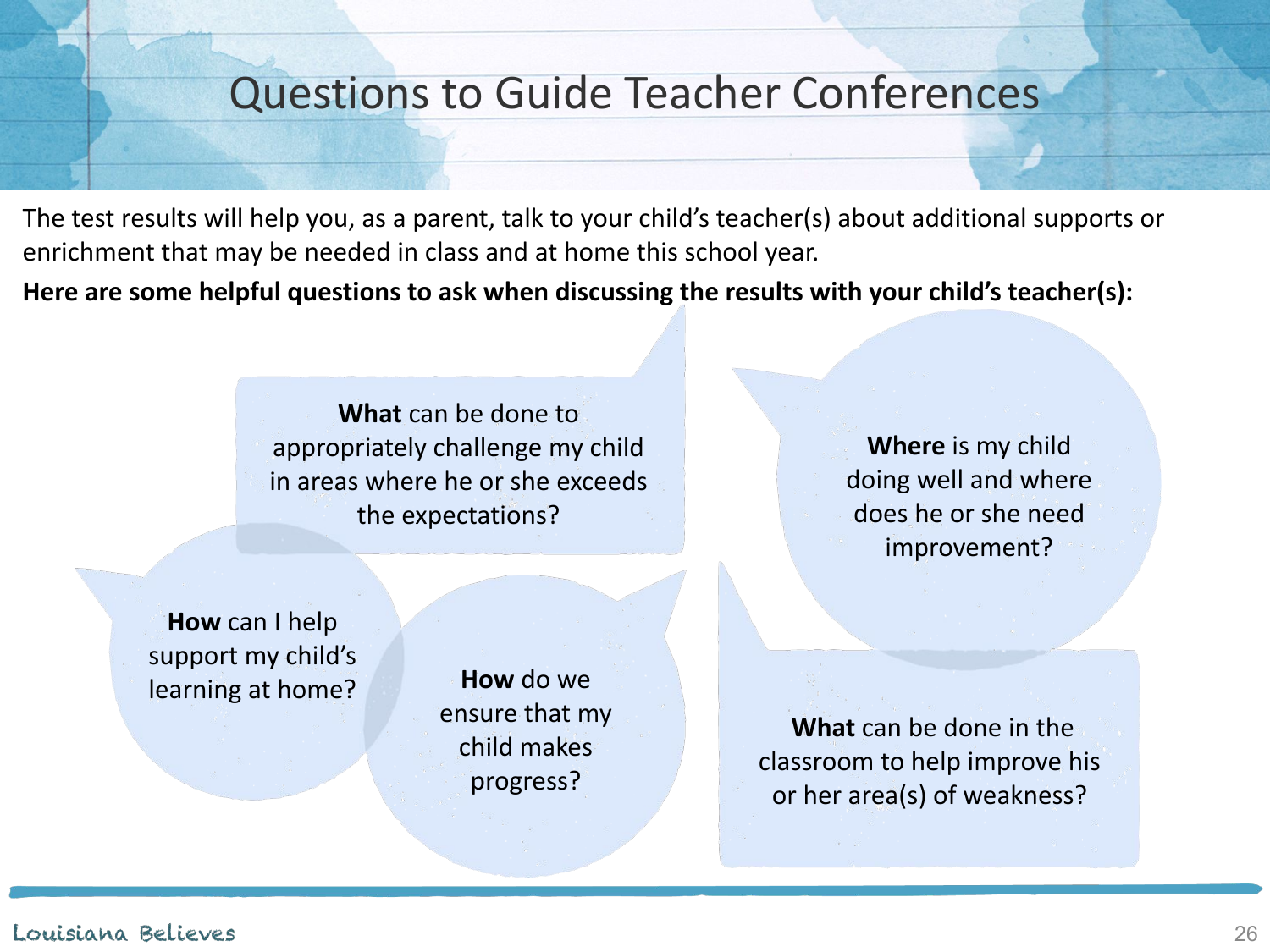### Questions to Guide Teacher Conferences

The test results will help you, as a parent, talk to your child's teacher(s) about additional supports or enrichment that may be needed in class and at home this school year.

**Here are some helpful questions to ask when discussing the results with your child's teacher(s):**

**What** can be done to appropriately challenge my child in areas where he or she exceeds the expectations?

**Where** is my child doing well and where does he or she need improvement?

**How** can I help support my child's learning at home? **How** do we

ensure that my child makes progress?

**What** can be done in the classroom to help improve his or her area(s) of weakness?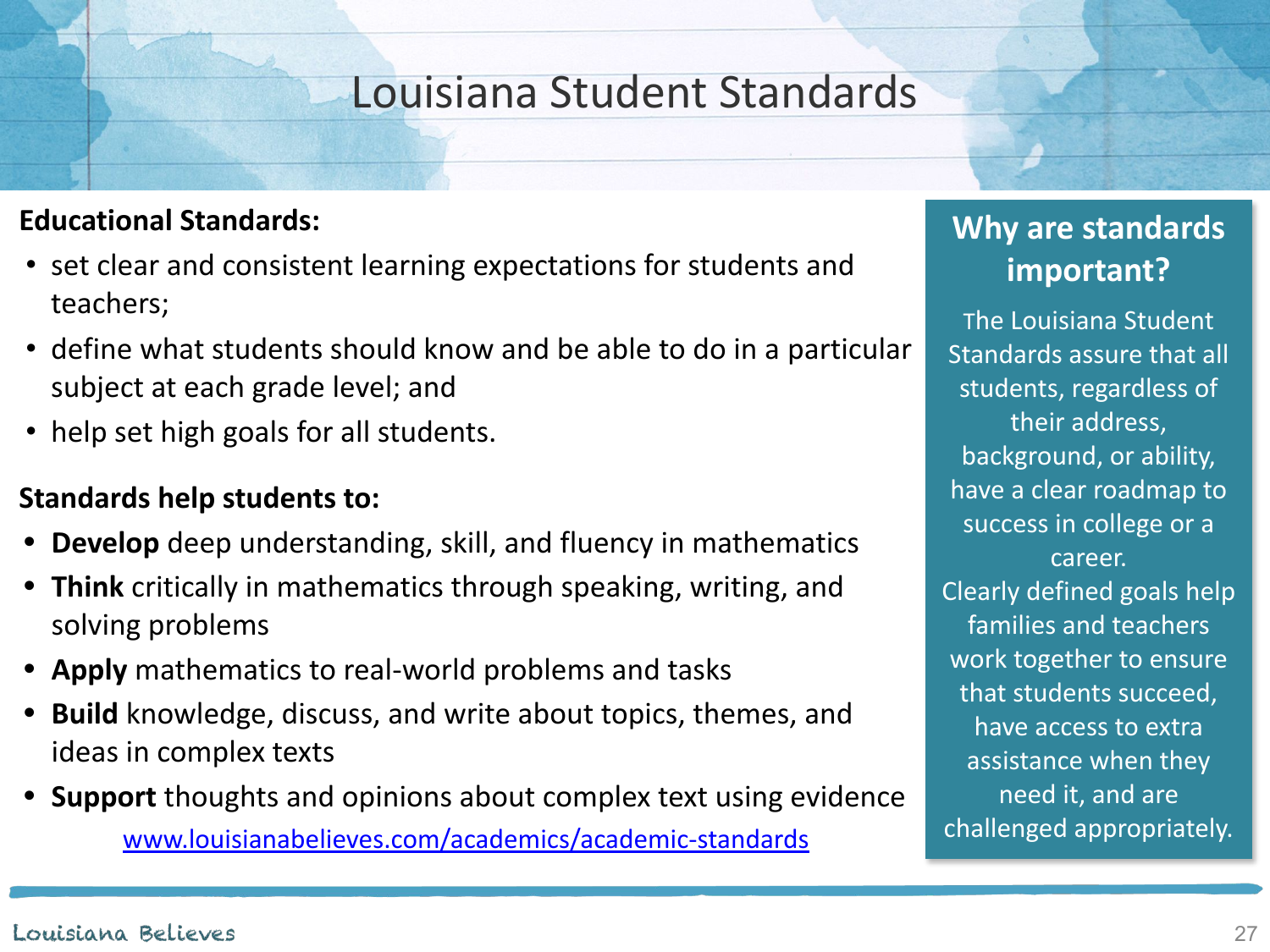### Louisiana Student Standards

#### **Educational Standards:**

- set clear and consistent learning expectations for students and teachers;
- define what students should know and be able to do in a particular subject at each grade level; and
- help set high goals for all students.

#### **Standards help students to:**

- **• Develop** deep understanding, skill, and fluency in mathematics
- **• Think** critically in mathematics through speaking, writing, and solving problems
- **• Apply** mathematics to real-world problems and tasks
- **• Build** knowledge, discuss, and write about topics, themes, and ideas in complex texts
- **• Support** thoughts and opinions about complex text using evidence [www.louisianabelieves.com/academics/academic-standards](http://www.louisianabelieves.com/academics/acemic-standards)

### **Why are standards important?**

The Louisiana Student Standards assure that all students, regardless of their address, background, or ability, have a clear roadmap to success in college or a career. Clearly defined goals help families and teachers work together to ensure that students succeed, have access to extra assistance when they need it, and are challenged appropriately.

#### Louisiana Believes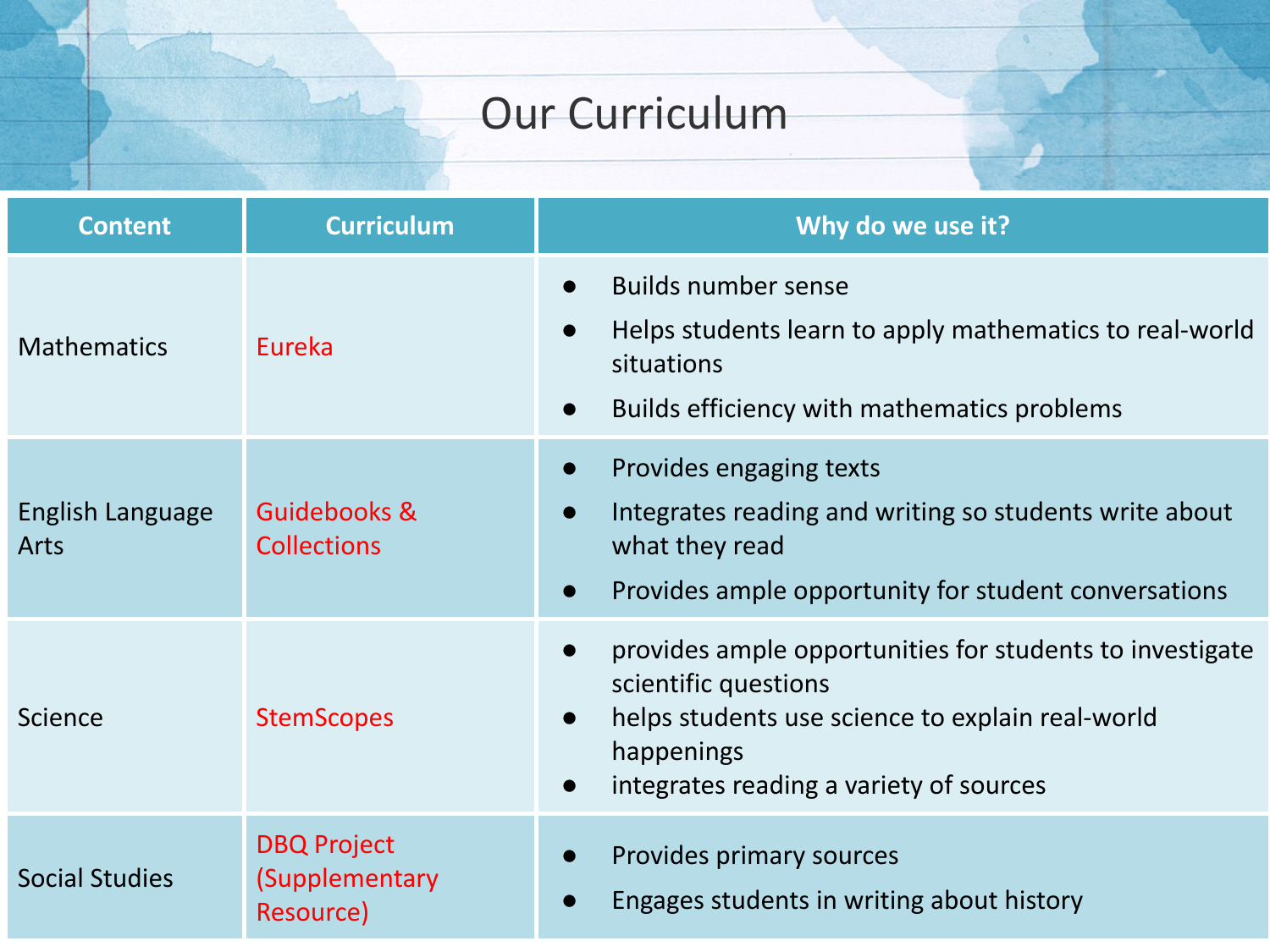### Our Curriculum

| <b>Content</b>           | <b>Curriculum</b>                                 | Why do we use it?                                                                                                                                                                                                                    |
|--------------------------|---------------------------------------------------|--------------------------------------------------------------------------------------------------------------------------------------------------------------------------------------------------------------------------------------|
| <b>Mathematics</b>       | Eureka                                            | <b>Builds number sense</b><br>$\bullet$<br>Helps students learn to apply mathematics to real-world<br>$\bullet$<br>situations<br>Builds efficiency with mathematics problems<br>$\bullet$                                            |
| English Language<br>Arts | Guidebooks &<br><b>Collections</b>                | Provides engaging texts<br>$\bullet$<br>Integrates reading and writing so students write about<br>what they read<br>Provides ample opportunity for student conversations<br>$\bullet$                                                |
| Science                  | <b>StemScopes</b>                                 | provides ample opportunities for students to investigate<br>$\bullet$<br>scientific questions<br>helps students use science to explain real-world<br>$\bullet$<br>happenings<br>integrates reading a variety of sources<br>$\bullet$ |
| <b>Social Studies</b>    | <b>DBQ Project</b><br>(Supplementary<br>Resource) | Provides primary sources<br>Engages students in writing about history                                                                                                                                                                |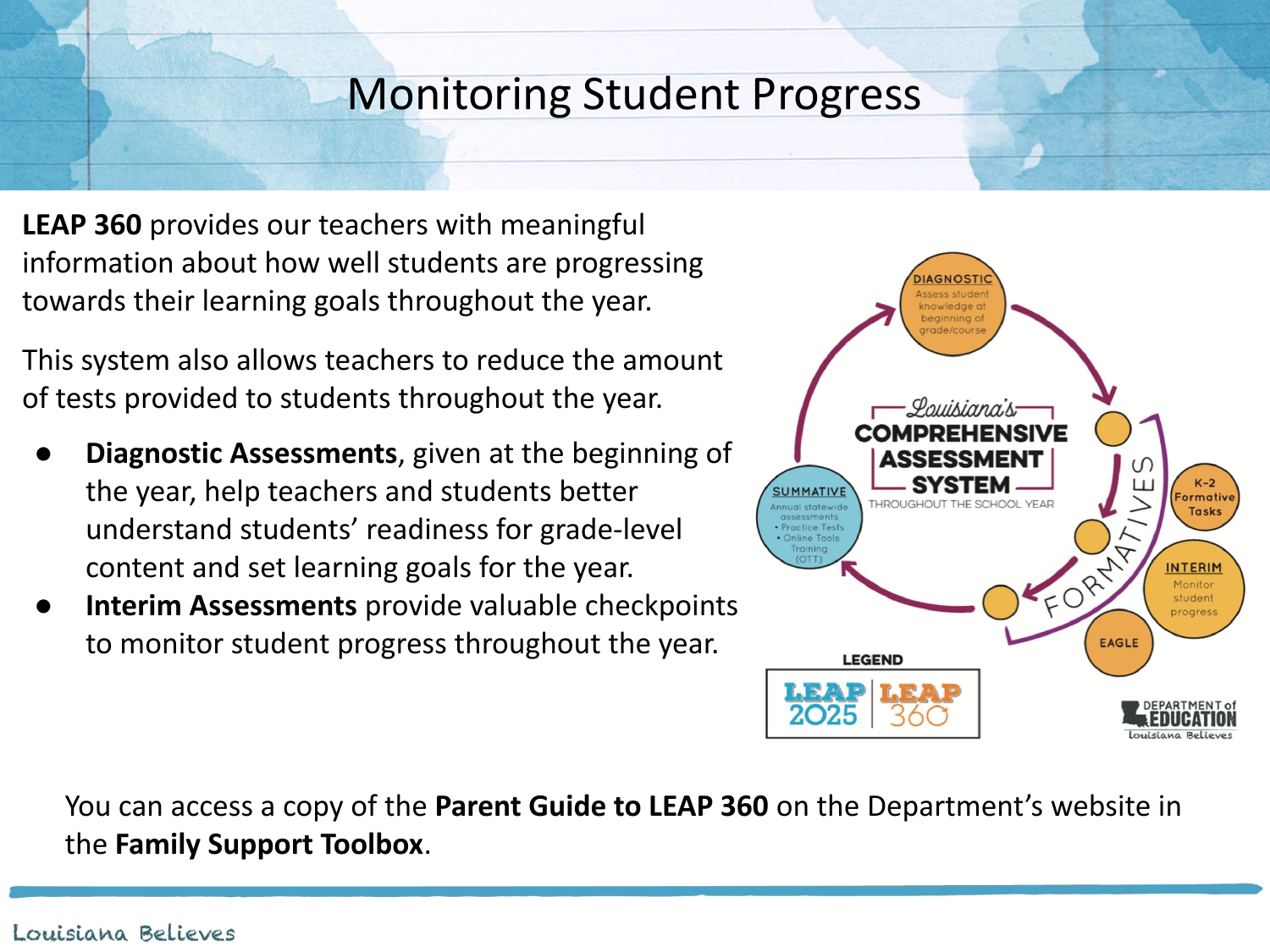### Monitoring Student Progress

**LEAP 360** provides our teachers with meaningful information about how well students are progressing towards their learning goals throughout the year.

This system also allows teachers to reduce the amount of tests provided to students throughout the year.

- **Diagnostic Assessments**, given at the beginning of the year, help teachers and students better understand students' readiness for grade-level content and set learning goals for the year.
- **Interim Assessments** provide valuable checkpoints to monitor student progress throughout the year.



You can access a copy of the **Parent Guide to LEAP 360** on the Department's website in the **Family Support Toolbox**.

#### Louisiana Believes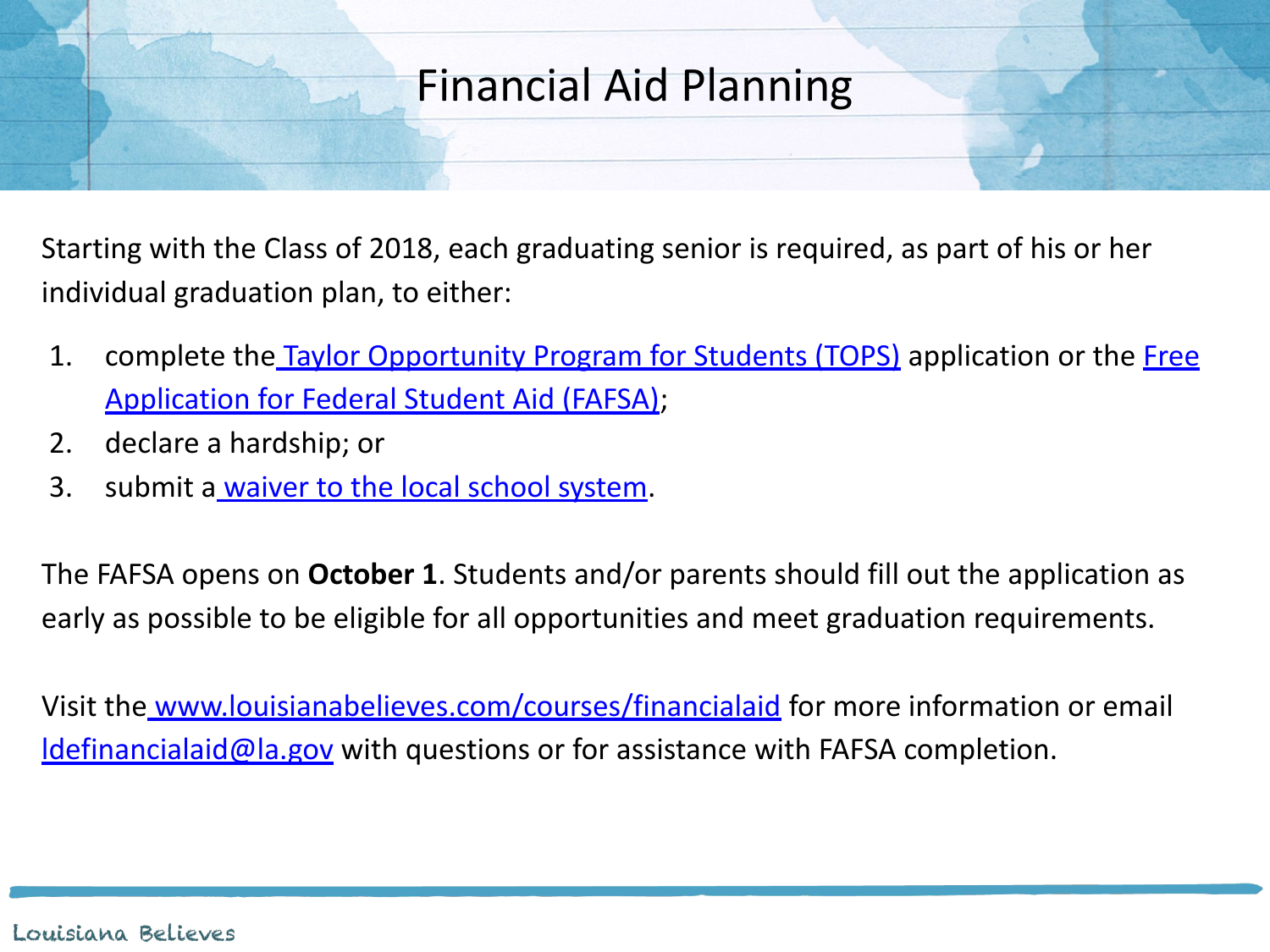### Financial Aid Planning

Starting with the Class of 2018, each graduating senior is required, as part of his or her individual graduation plan, to either:

- 1. complete the [Taylor Opportunity Program for Students \(TOPS\)](https://www.osfa.la.gov/TOPS.htm) application or the [Free](https://fafsa.ed.gov/) [Application for Federal Student Aid \(FAFSA\)](https://fafsa.ed.gov/);
- 2. declare a hardship; or
- 3. submit a [waiver to the local school system](http://www.louisianabelieves.com/docs/default-source/course-choice/fafsa-parental-opt-out.pdf?sfvrsn=2).

The FAFSA opens on **October 1**. Students and/or parents should fill out the application as early as possible to be eligible for all opportunities and meet graduation requirements.

Visit the [www.louisianabelieves.com/courses/financialaid](http://www.louisianabelieves.com/courses/financialaid) for more information or email **Idefinancialaid@la.gov** with questions or for assistance with FAFSA completion.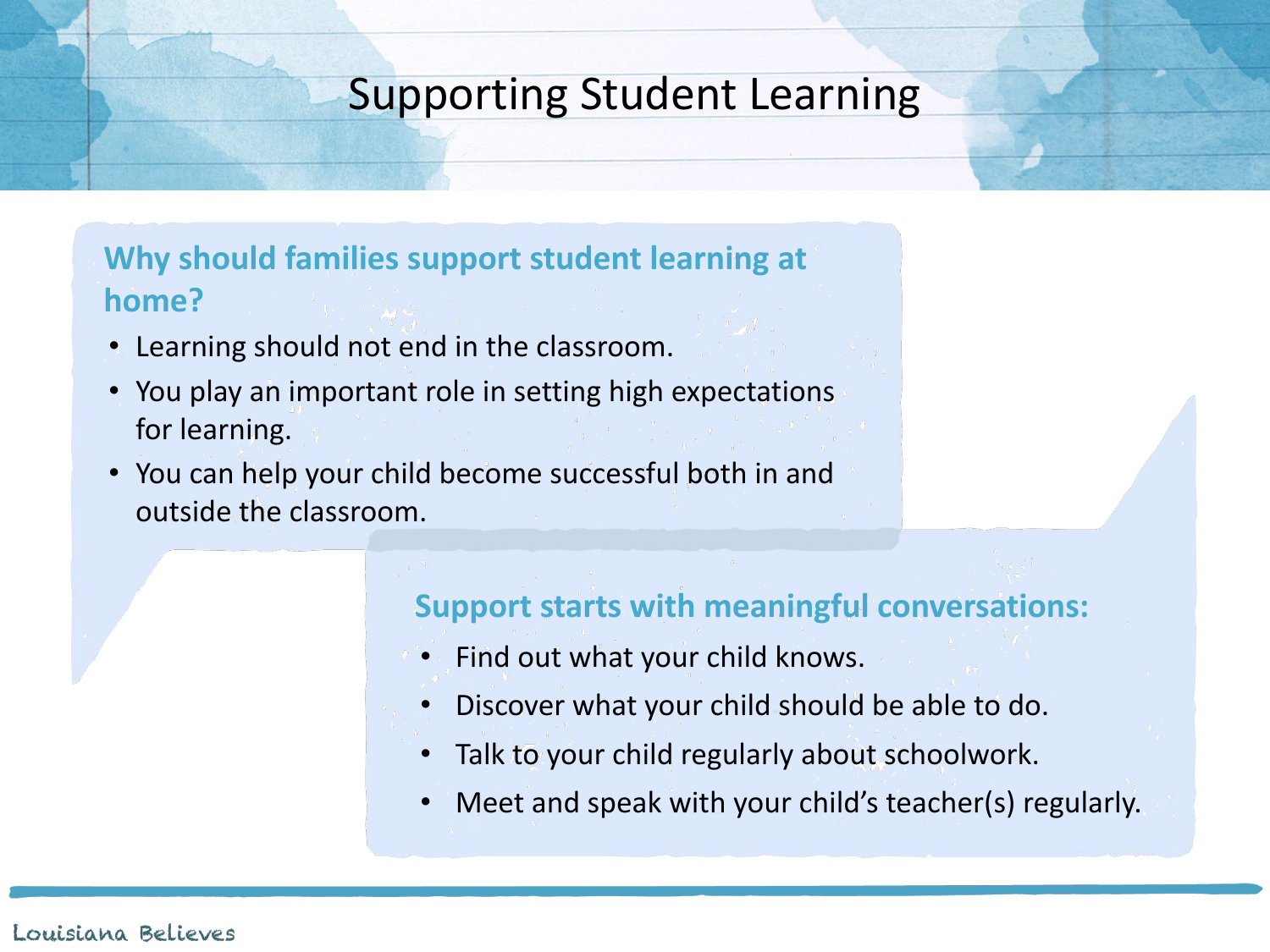### Supporting Student Learning

### **Why should families support student learning at home?**

- Learning should not end in the classroom.
- You play an important role in setting high expectations for learning.
- You can help your child become successful both in and outside the classroom.

### **Support starts with meaningful conversations:**

- Find out what your child knows.
- Discover what your child should be able to do.
- Talk to your child regularly about schoolwork.
- Meet and speak with your child's teacher(s) regularly.

#### Louisiana Believes